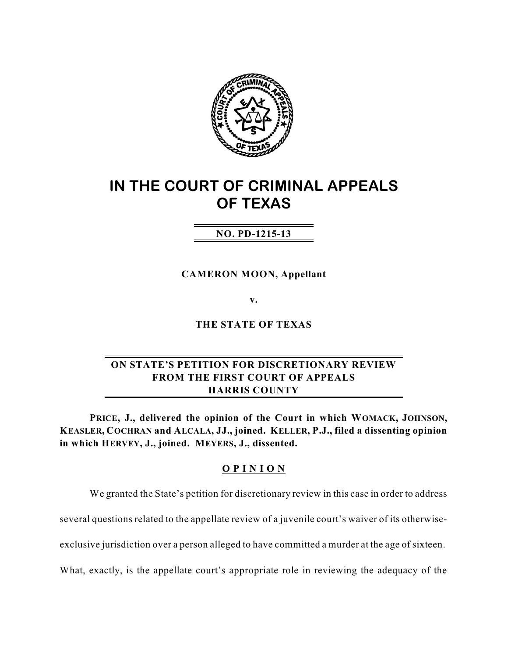

# **IN THE COURT OF CRIMINAL APPEALS OF TEXAS**

# **NO. PD-1215-13**

**CAMERON MOON, Appellant**

**v.**

**THE STATE OF TEXAS**

# **ON STATE'S PETITION FOR DISCRETIONARY REVIEW FROM THE FIRST COURT OF APPEALS HARRIS COUNTY**

**PRICE, J., delivered the opinion of the Court in which WOMACK, JOHNSON, KEASLER, COCHRAN and ALCALA, JJ., joined. KELLER, P.J., filed a dissenting opinion in which HERVEY, J., joined. MEYERS, J., dissented.**

# **O P I N I O N**

We granted the State's petition for discretionary review in this case in order to address

several questions related to the appellate review of a juvenile court's waiver of its otherwise-

exclusive jurisdiction over a person alleged to have committed a murder at the age of sixteen.

What, exactly, is the appellate court's appropriate role in reviewing the adequacy of the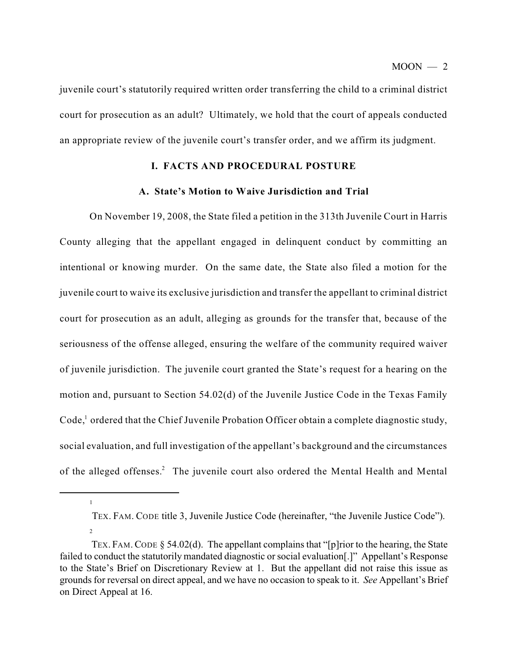juvenile court's statutorily required written order transferring the child to a criminal district court for prosecution as an adult? Ultimately, we hold that the court of appeals conducted an appropriate review of the juvenile court's transfer order, and we affirm its judgment.

# **I. FACTS AND PROCEDURAL POSTURE**

# **A. State's Motion to Waive Jurisdiction and Trial**

On November 19, 2008, the State filed a petition in the 313th Juvenile Court in Harris County alleging that the appellant engaged in delinquent conduct by committing an intentional or knowing murder. On the same date, the State also filed a motion for the juvenile court to waive its exclusive jurisdiction and transfer the appellant to criminal district court for prosecution as an adult, alleging as grounds for the transfer that, because of the seriousness of the offense alleged, ensuring the welfare of the community required waiver of juvenile jurisdiction. The juvenile court granted the State's request for a hearing on the motion and, pursuant to Section 54.02(d) of the Juvenile Justice Code in the Texas Family Code,<sup>1</sup> ordered that the Chief Juvenile Probation Officer obtain a complete diagnostic study, social evaluation, and full investigation of the appellant's background and the circumstances of the alleged offenses.<sup>2</sup> The juvenile court also ordered the Mental Health and Mental

TEX. FAM. CODE title 3, Juvenile Justice Code (hereinafter, "the Juvenile Justice Code"). 2

TEX. FAM. CODE  $\S$  54.02(d). The appellant complains that "[p]rior to the hearing, the State failed to conduct the statutorily mandated diagnostic or social evaluation[.]" Appellant's Response to the State's Brief on Discretionary Review at 1. But the appellant did not raise this issue as grounds for reversal on direct appeal, and we have no occasion to speak to it. *See* Appellant's Brief on Direct Appeal at 16.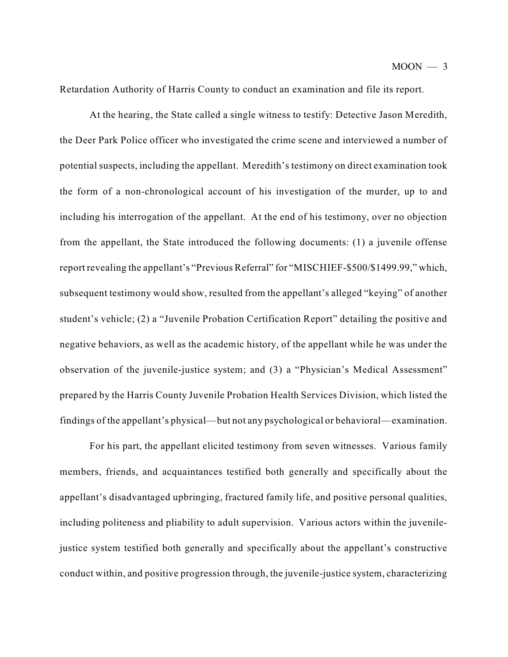Retardation Authority of Harris County to conduct an examination and file its report.

At the hearing, the State called a single witness to testify: Detective Jason Meredith, the Deer Park Police officer who investigated the crime scene and interviewed a number of potential suspects, including the appellant. Meredith's testimony on direct examination took the form of a non-chronological account of his investigation of the murder, up to and including his interrogation of the appellant. At the end of his testimony, over no objection from the appellant, the State introduced the following documents: (1) a juvenile offense report revealing the appellant's "Previous Referral" for "MISCHIEF-\$500/\$1499.99," which, subsequent testimony would show, resulted from the appellant's alleged "keying" of another student's vehicle; (2) a "Juvenile Probation Certification Report" detailing the positive and negative behaviors, as well as the academic history, of the appellant while he was under the observation of the juvenile-justice system; and (3) a "Physician's Medical Assessment" prepared by the Harris County Juvenile Probation Health Services Division, which listed the findings of the appellant's physical—but not any psychological or behavioral—examination.

For his part, the appellant elicited testimony from seven witnesses. Various family members, friends, and acquaintances testified both generally and specifically about the appellant's disadvantaged upbringing, fractured family life, and positive personal qualities, including politeness and pliability to adult supervision. Various actors within the juvenilejustice system testified both generally and specifically about the appellant's constructive conduct within, and positive progression through, the juvenile-justice system, characterizing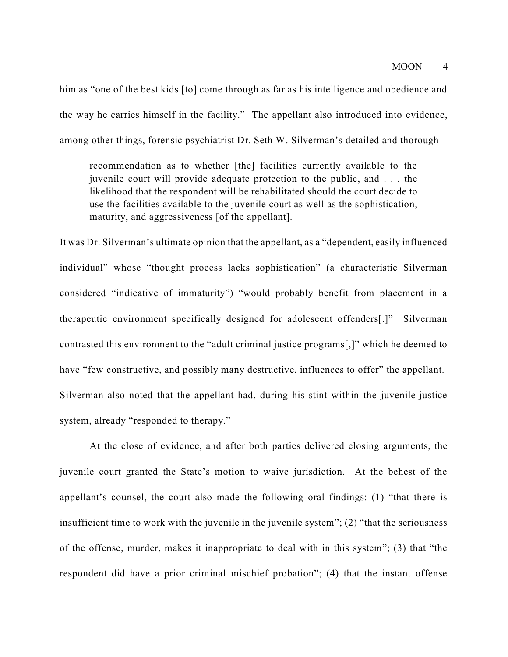him as "one of the best kids [to] come through as far as his intelligence and obedience and the way he carries himself in the facility." The appellant also introduced into evidence, among other things, forensic psychiatrist Dr. Seth W. Silverman's detailed and thorough

recommendation as to whether [the] facilities currently available to the juvenile court will provide adequate protection to the public, and . . . the likelihood that the respondent will be rehabilitated should the court decide to use the facilities available to the juvenile court as well as the sophistication, maturity, and aggressiveness [of the appellant].

It was Dr. Silverman's ultimate opinion that the appellant, as a "dependent, easily influenced individual" whose "thought process lacks sophistication" (a characteristic Silverman considered "indicative of immaturity") "would probably benefit from placement in a therapeutic environment specifically designed for adolescent offenders[.]" Silverman contrasted this environment to the "adult criminal justice programs[,]" which he deemed to have "few constructive, and possibly many destructive, influences to offer" the appellant. Silverman also noted that the appellant had, during his stint within the juvenile-justice system, already "responded to therapy."

At the close of evidence, and after both parties delivered closing arguments, the juvenile court granted the State's motion to waive jurisdiction. At the behest of the appellant's counsel, the court also made the following oral findings: (1) "that there is insufficient time to work with the juvenile in the juvenile system"; (2) "that the seriousness of the offense, murder, makes it inappropriate to deal with in this system"; (3) that "the respondent did have a prior criminal mischief probation"; (4) that the instant offense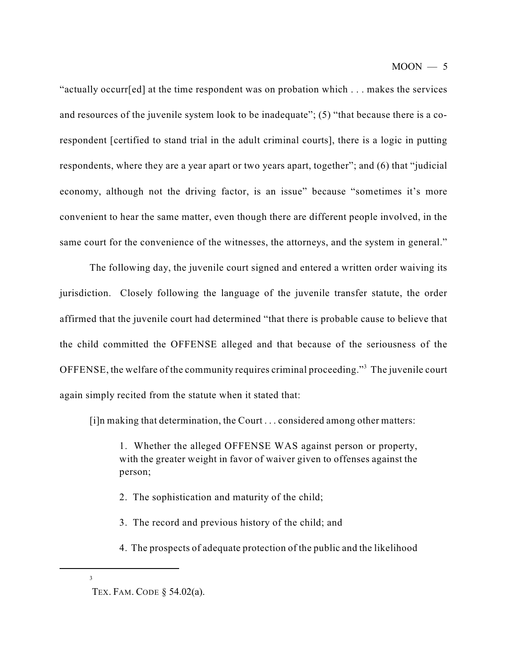$MOON - 5$ 

"actually occurr[ed] at the time respondent was on probation which . . . makes the services and resources of the juvenile system look to be inadequate"; (5) "that because there is a corespondent [certified to stand trial in the adult criminal courts], there is a logic in putting respondents, where they are a year apart or two years apart, together"; and (6) that "judicial economy, although not the driving factor, is an issue" because "sometimes it's more convenient to hear the same matter, even though there are different people involved, in the same court for the convenience of the witnesses, the attorneys, and the system in general."

The following day, the juvenile court signed and entered a written order waiving its jurisdiction. Closely following the language of the juvenile transfer statute, the order affirmed that the juvenile court had determined "that there is probable cause to believe that the child committed the OFFENSE alleged and that because of the seriousness of the OFFENSE, the welfare of the community requires criminal proceeding."<sup>3</sup> The juvenile court again simply recited from the statute when it stated that:

[i]n making that determination, the Court . . . considered among other matters:

1. Whether the alleged OFFENSE WAS against person or property, with the greater weight in favor of waiver given to offenses against the person;

- 2. The sophistication and maturity of the child;
- 3. The record and previous history of the child; and
- 4. The prospects of adequate protection of the public and the likelihood

TEX. FAM. CODE § 54.02(a).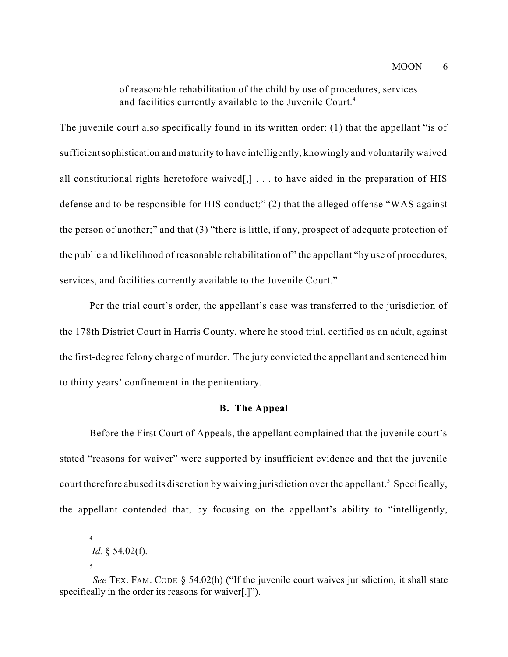of reasonable rehabilitation of the child by use of procedures, services and facilities currently available to the Juvenile Court. 4

The juvenile court also specifically found in its written order: (1) that the appellant "is of sufficient sophistication and maturity to have intelligently, knowingly and voluntarily waived all constitutional rights heretofore waived[,] . . . to have aided in the preparation of HIS defense and to be responsible for HIS conduct;" (2) that the alleged offense "WAS against the person of another;" and that (3) "there is little, if any, prospect of adequate protection of the public and likelihood of reasonable rehabilitation of" the appellant "by use of procedures, services, and facilities currently available to the Juvenile Court."

Per the trial court's order, the appellant's case was transferred to the jurisdiction of the 178th District Court in Harris County, where he stood trial, certified as an adult, against the first-degree felony charge of murder. The jury convicted the appellant and sentenced him to thirty years' confinement in the penitentiary.

#### **B. The Appeal**

Before the First Court of Appeals, the appellant complained that the juvenile court's stated "reasons for waiver" were supported by insufficient evidence and that the juvenile court therefore abused its discretion by waiving jurisdiction over the appellant.<sup>5</sup> Specifically, the appellant contended that, by focusing on the appellant's ability to "intelligently,

*Id.* § 54.02(f).

<sup>5</sup>

*See* TEX. FAM. CODE § 54.02(h) ("If the juvenile court waives jurisdiction, it shall state specifically in the order its reasons for waiver[.]").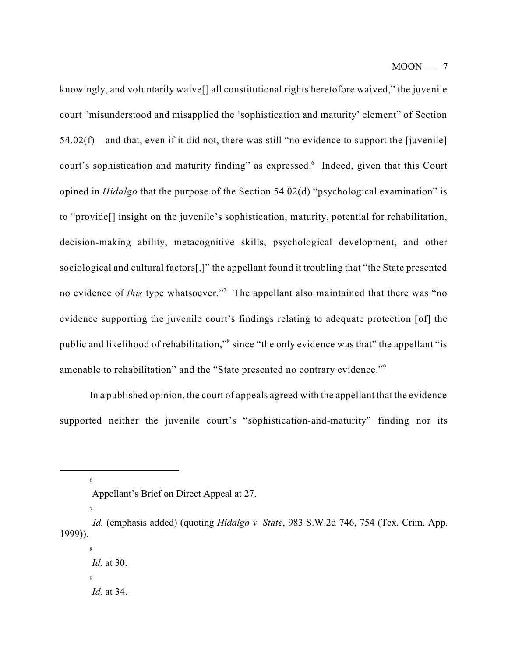knowingly, and voluntarily waive[] all constitutional rights heretofore waived," the juvenile court "misunderstood and misapplied the 'sophistication and maturity' element" of Section 54.02(f)—and that, even if it did not, there was still "no evidence to support the [juvenile] court's sophistication and maturity finding" as expressed.<sup>6</sup> Indeed, given that this Court opined in *Hidalgo* that the purpose of the Section 54.02(d) "psychological examination" is to "provide[] insight on the juvenile's sophistication, maturity, potential for rehabilitation, decision-making ability, metacognitive skills, psychological development, and other sociological and cultural factors[,]" the appellant found it troubling that "the State presented no evidence of *this* type whatsoever."<sup>7</sup> The appellant also maintained that there was "no evidence supporting the juvenile court's findings relating to adequate protection [of] the public and likelihood of rehabilitation," since "the only evidence was that" the appellant "is amenable to rehabilitation" and the "State presented no contrary evidence."<sup>9</sup>

In a published opinion, the court of appeals agreed with the appellant that the evidence supported neither the juvenile court's "sophistication-and-maturity" finding nor its

<sup>6</sup>

Appellant's Brief on Direct Appeal at 27.

*Id.* (emphasis added) (quoting *Hidalgo v. State*, 983 S.W.2d 746, 754 (Tex. Crim. App. 1999)).

<sup>8</sup> *Id.* at 30.  $\overline{9}$ *Id.* at 34.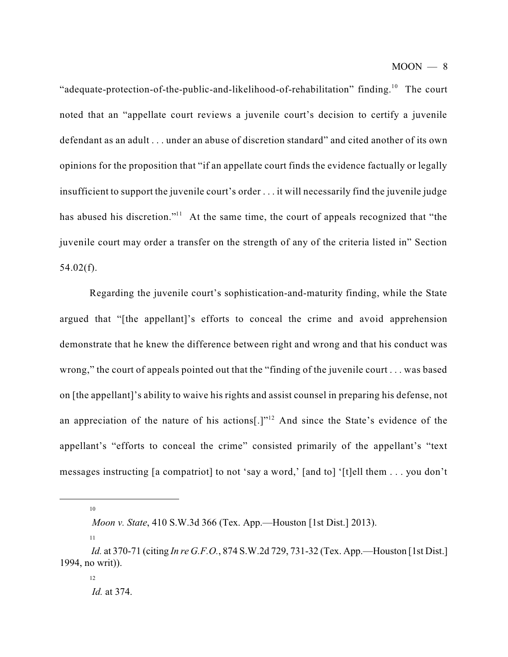"adequate-protection-of-the-public-and-likelihood-of-rehabilitation" finding.<sup>10</sup> The court noted that an "appellate court reviews a juvenile court's decision to certify a juvenile defendant as an adult . . . under an abuse of discretion standard" and cited another of its own opinions for the proposition that "if an appellate court finds the evidence factually or legally insufficient to support the juvenile court's order . . . it will necessarily find the juvenile judge has abused his discretion."<sup>11</sup> At the same time, the court of appeals recognized that "the juvenile court may order a transfer on the strength of any of the criteria listed in" Section  $54.02(f)$ .

Regarding the juvenile court's sophistication-and-maturity finding, while the State argued that "[the appellant]'s efforts to conceal the crime and avoid apprehension demonstrate that he knew the difference between right and wrong and that his conduct was wrong," the court of appeals pointed out that the "finding of the juvenile court . . . was based on [the appellant]'s ability to waive his rights and assist counsel in preparing his defense, not an appreciation of the nature of his actions[.] $n^{12}$  And since the State's evidence of the appellant's "efforts to conceal the crime" consisted primarily of the appellant's "text messages instructing [a compatriot] to not 'say a word,' [and to] '[t]ell them . . . you don't

10

*Moon v. State*, 410 S.W.3d 366 (Tex. App.—Houston [1st Dist.] 2013).

*Id.* at 370-71 (citing *In re G.F.O.*, 874 S.W.2d 729, 731-32 (Tex. App.—Houston [1st Dist.] 1994, no writ)).

<sup>12</sup> *Id.* at 374.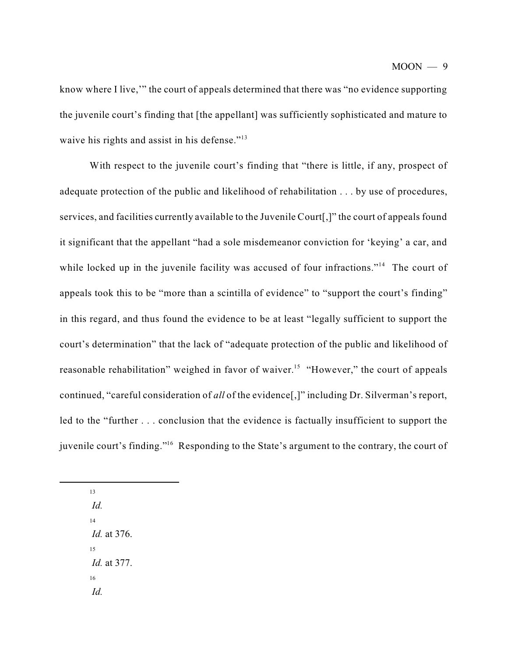know where I live,'" the court of appeals determined that there was "no evidence supporting the juvenile court's finding that [the appellant] was sufficiently sophisticated and mature to waive his rights and assist in his defense."<sup>13</sup>

With respect to the juvenile court's finding that "there is little, if any, prospect of adequate protection of the public and likelihood of rehabilitation . . . by use of procedures, services, and facilities currently available to the Juvenile Court[,]" the court of appeals found it significant that the appellant "had a sole misdemeanor conviction for 'keying' a car, and while locked up in the juvenile facility was accused of four infractions."<sup>14</sup> The court of appeals took this to be "more than a scintilla of evidence" to "support the court's finding" in this regard, and thus found the evidence to be at least "legally sufficient to support the court's determination" that the lack of "adequate protection of the public and likelihood of reasonable rehabilitation" weighed in favor of waiver.<sup>15</sup> "However," the court of appeals continued, "careful consideration of *all* of the evidence[,]" including Dr. Silverman's report, led to the "further . . . conclusion that the evidence is factually insufficient to support the juvenile court's finding."<sup>16</sup> Responding to the State's argument to the contrary, the court of

*Id.* 14 *Id.* at 376. 15 *Id.* at 377. 16 *Id.*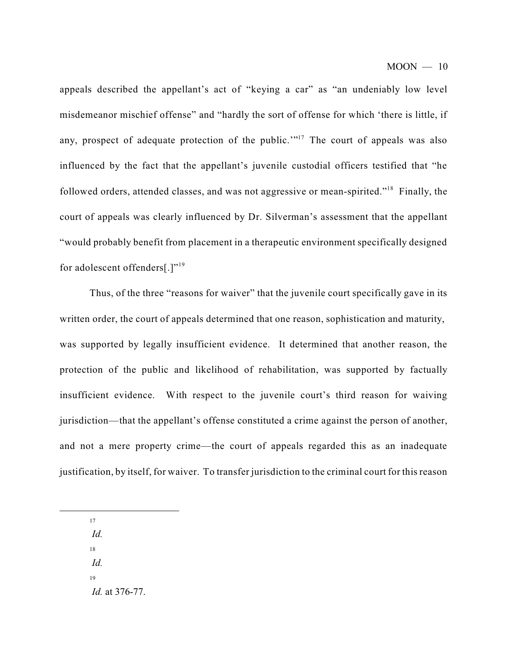appeals described the appellant's act of "keying a car" as "an undeniably low level misdemeanor mischief offense" and "hardly the sort of offense for which 'there is little, if any, prospect of adequate protection of the public."<sup> $17$ </sup> The court of appeals was also influenced by the fact that the appellant's juvenile custodial officers testified that "he followed orders, attended classes, and was not aggressive or mean-spirited."<sup>18</sup> Finally, the court of appeals was clearly influenced by Dr. Silverman's assessment that the appellant "would probably benefit from placement in a therapeutic environment specifically designed for adolescent offenders[.]"<sup>19</sup>

Thus, of the three "reasons for waiver" that the juvenile court specifically gave in its written order, the court of appeals determined that one reason, sophistication and maturity, was supported by legally insufficient evidence. It determined that another reason, the protection of the public and likelihood of rehabilitation, was supported by factually insufficient evidence. With respect to the juvenile court's third reason for waiving jurisdiction—that the appellant's offense constituted a crime against the person of another, and not a mere property crime—the court of appeals regarded this as an inadequate justification, by itself, for waiver. To transfer jurisdiction to the criminal court for this reason

17

*Id.*

18

*Id.*

19

*Id.* at 376-77.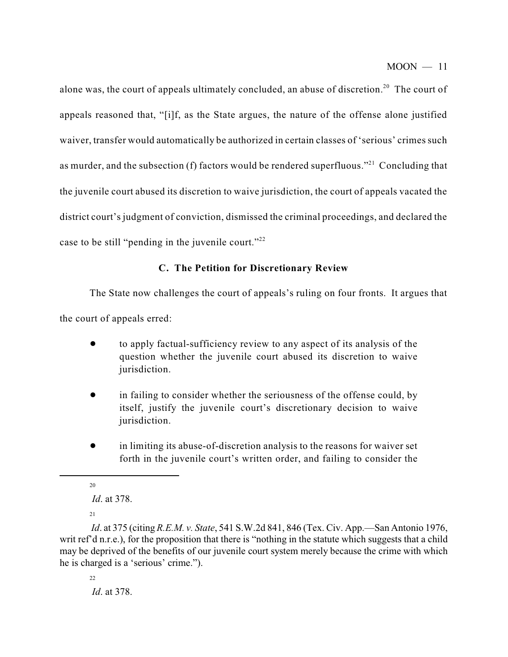alone was, the court of appeals ultimately concluded, an abuse of discretion.<sup>20</sup> The court of appeals reasoned that, "[i]f, as the State argues, the nature of the offense alone justified waiver, transfer would automatically be authorized in certain classes of 'serious' crimes such as murder, and the subsection (f) factors would be rendered superfluous."<sup>21</sup> Concluding that the juvenile court abused its discretion to waive jurisdiction, the court of appeals vacated the district court's judgment of conviction, dismissed the criminal proceedings, and declared the case to be still "pending in the juvenile court."<sup>22</sup>

## **C. The Petition for Discretionary Review**

The State now challenges the court of appeals's ruling on four fronts. It argues that

the court of appeals erred:

- ! to apply factual-sufficiency review to any aspect of its analysis of the question whether the juvenile court abused its discretion to waive jurisdiction.
- in failing to consider whether the seriousness of the offense could, by itself, justify the juvenile court's discretionary decision to waive jurisdiction.
- ! in limiting its abuse-of-discretion analysis to the reasons for waiver set forth in the juvenile court's written order, and failing to consider the

20

*Id*. at 375 (citing *R.E.M. v. State*, 541 S.W.2d 841, 846 (Tex. Civ. App.—San Antonio 1976, writ ref'd n.r.e.), for the proposition that there is "nothing in the statute which suggests that a child may be deprived of the benefits of our juvenile court system merely because the crime with which he is charged is a 'serious' crime.").

 $22$ *Id*. at 378.

*Id*. at 378.

 $21$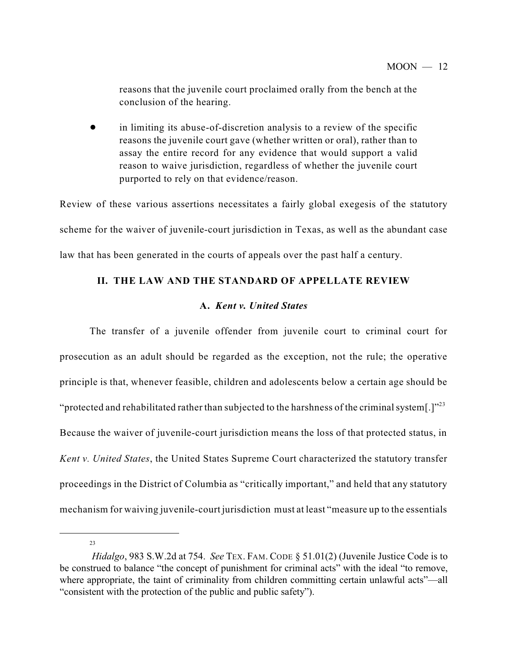reasons that the juvenile court proclaimed orally from the bench at the conclusion of the hearing.

in limiting its abuse-of-discretion analysis to a review of the specific reasons the juvenile court gave (whether written or oral), rather than to assay the entire record for any evidence that would support a valid reason to waive jurisdiction, regardless of whether the juvenile court purported to rely on that evidence/reason.

Review of these various assertions necessitates a fairly global exegesis of the statutory scheme for the waiver of juvenile-court jurisdiction in Texas, as well as the abundant case law that has been generated in the courts of appeals over the past half a century.

# **II. THE LAW AND THE STANDARD OF APPELLATE REVIEW**

# **A.** *Kent v. United States*

The transfer of a juvenile offender from juvenile court to criminal court for prosecution as an adult should be regarded as the exception, not the rule; the operative principle is that, whenever feasible, children and adolescents below a certain age should be "protected and rehabilitated rather than subjected to the harshness of the criminal system[.]" $^{23}$ Because the waiver of juvenile-court jurisdiction means the loss of that protected status, in *Kent v. United States*, the United States Supreme Court characterized the statutory transfer proceedings in the District of Columbia as "critically important," and held that any statutory mechanism for waiving juvenile-court jurisdiction must at least "measure up to the essentials

*Hidalgo*, 983 S.W.2d at 754. *See* TEX. FAM. CODE § 51.01(2) (Juvenile Justice Code is to be construed to balance "the concept of punishment for criminal acts" with the ideal "to remove, where appropriate, the taint of criminality from children committing certain unlawful acts"—all "consistent with the protection of the public and public safety").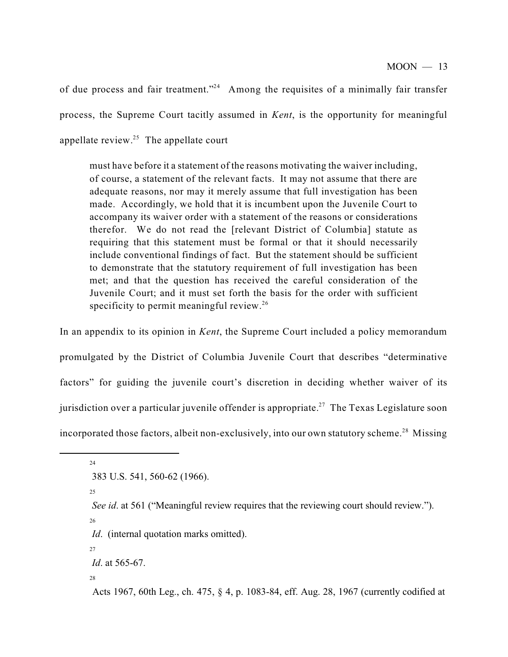of due process and fair treatment."<sup>24</sup> Among the requisites of a minimally fair transfer process, the Supreme Court tacitly assumed in *Kent*, is the opportunity for meaningful appellate review. $25$  The appellate court

must have before it a statement of the reasons motivating the waiver including, of course, a statement of the relevant facts. It may not assume that there are adequate reasons, nor may it merely assume that full investigation has been made. Accordingly, we hold that it is incumbent upon the Juvenile Court to accompany its waiver order with a statement of the reasons or considerations therefor. We do not read the [relevant District of Columbia] statute as requiring that this statement must be formal or that it should necessarily include conventional findings of fact. But the statement should be sufficient to demonstrate that the statutory requirement of full investigation has been met; and that the question has received the careful consideration of the Juvenile Court; and it must set forth the basis for the order with sufficient specificity to permit meaningful review.<sup>26</sup>

In an appendix to its opinion in *Kent*, the Supreme Court included a policy memorandum promulgated by the District of Columbia Juvenile Court that describes "determinative factors" for guiding the juvenile court's discretion in deciding whether waiver of its jurisdiction over a particular juvenile offender is appropriate.<sup>27</sup> The Texas Legislature soon incorporated those factors, albeit non-exclusively, into our own statutory scheme.<sup>28</sup> Missing

24

25

26

*See id.* at 561 ("Meaningful review requires that the reviewing court should review.").

*Id.* (internal quotation marks omitted).

27

*Id*. at 565-67.

28

Acts 1967, 60th Leg., ch. 475, § 4, p. 1083-84, eff. Aug. 28, 1967 (currently codified at

 <sup>383</sup> U.S. 541, 560-62 (1966).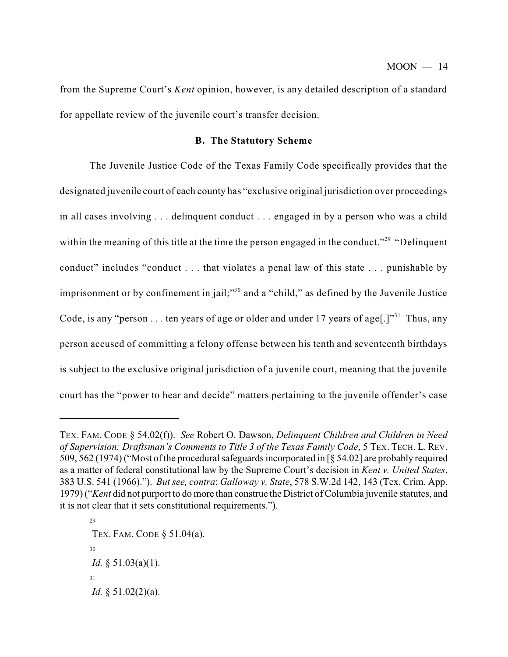from the Supreme Court's *Kent* opinion, however, is any detailed description of a standard for appellate review of the juvenile court's transfer decision.

#### **B. The Statutory Scheme**

The Juvenile Justice Code of the Texas Family Code specifically provides that the designated juvenile court of each county has "exclusive original jurisdiction over proceedings in all cases involving . . . delinquent conduct . . . engaged in by a person who was a child within the meaning of this title at the time the person engaged in the conduct."<sup>29</sup> "Delinquent conduct" includes "conduct . . . that violates a penal law of this state . . . punishable by imprisonment or by confinement in jail;"<sup>30</sup> and a "child," as defined by the Juvenile Justice Code, is any "person . . . ten years of age or older and under 17 years of age[.] $"$ <sup>31</sup> Thus, any person accused of committing a felony offense between his tenth and seventeenth birthdays is subject to the exclusive original jurisdiction of a juvenile court, meaning that the juvenile court has the "power to hear and decide" matters pertaining to the juvenile offender's case

29 TEX. FAM. CODE § 51.04(a). 30 *Id.* § 51.03(a)(1). 31 *Id.* § 51.02(2)(a).

TEX. FAM. CODE § 54.02(f)). *See* Robert O. Dawson, *Delinquent Children and Children in Need of Supervision: Draftsman's Comments to Title 3 of the Texas Family Code*, 5 TEX. TECH. L. REV. 509, 562 (1974) ("Most of the procedural safeguards incorporated in [§ 54.02] are probably required as a matter of federal constitutional law by the Supreme Court's decision in *Kent v. United States*, 383 U.S. 541 (1966)."). *But see, contra*: *Galloway v. State*, 578 S.W.2d 142, 143 (Tex. Crim. App. 1979) ("*Kent* did not purport to do more than construe the District of Columbia juvenile statutes, and it is not clear that it sets constitutional requirements.").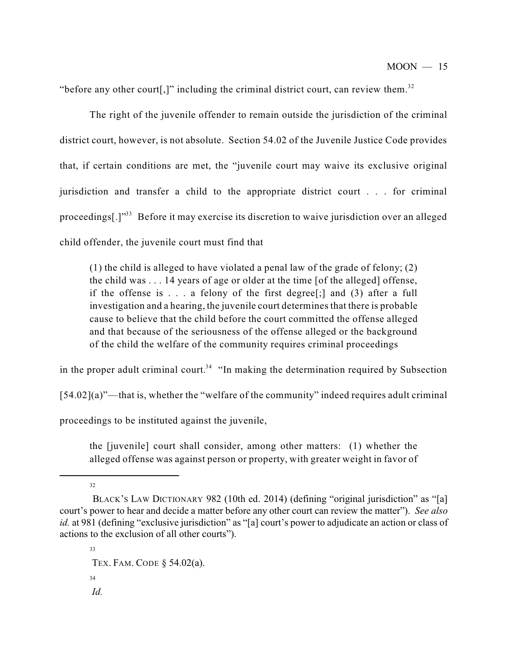"before any other court[,]" including the criminal district court, can review them. $32$ 

The right of the juvenile offender to remain outside the jurisdiction of the criminal district court, however, is not absolute. Section 54.02 of the Juvenile Justice Code provides that, if certain conditions are met, the "juvenile court may waive its exclusive original jurisdiction and transfer a child to the appropriate district court . . . for criminal proceedings[.]"<sup>33</sup> Before it may exercise its discretion to waive jurisdiction over an alleged child offender, the juvenile court must find that

(1) the child is alleged to have violated a penal law of the grade of felony; (2) the child was . . . 14 years of age or older at the time [of the alleged] offense, if the offense is . . . a felony of the first degree[;] and (3) after a full investigation and a hearing, the juvenile court determines that there is probable cause to believe that the child before the court committed the offense alleged and that because of the seriousness of the offense alleged or the background of the child the welfare of the community requires criminal proceedings

in the proper adult criminal court.<sup>34</sup> "In making the determination required by Subsection

[54.02](a)"—that is, whether the "welfare of the community" indeed requires adult criminal

proceedings to be instituted against the juvenile,

the [juvenile] court shall consider, among other matters: (1) whether the alleged offense was against person or property, with greater weight in favor of

BLACK'S LAW DICTIONARY 982 (10th ed. 2014) (defining "original jurisdiction" as "[a] court's power to hear and decide a matter before any other court can review the matter"). *See also id.* at 981 (defining "exclusive jurisdiction" as "[a] court's power to adjudicate an action or class of actions to the exclusion of all other courts").

<sup>33</sup> TEX. FAM. CODE § 54.02(a). 34 *Id.*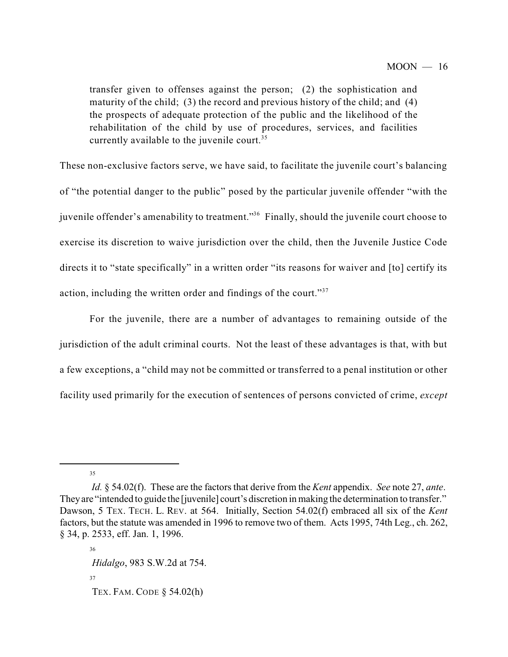transfer given to offenses against the person; (2) the sophistication and maturity of the child; (3) the record and previous history of the child; and  $(4)$ the prospects of adequate protection of the public and the likelihood of the rehabilitation of the child by use of procedures, services, and facilities currently available to the juvenile court.<sup>35</sup>

These non-exclusive factors serve, we have said, to facilitate the juvenile court's balancing of "the potential danger to the public" posed by the particular juvenile offender "with the juvenile offender's amenability to treatment."<sup>36</sup> Finally, should the juvenile court choose to exercise its discretion to waive jurisdiction over the child, then the Juvenile Justice Code directs it to "state specifically" in a written order "its reasons for waiver and [to] certify its action, including the written order and findings of the court."<sup>37</sup>

For the juvenile, there are a number of advantages to remaining outside of the jurisdiction of the adult criminal courts. Not the least of these advantages is that, with but a few exceptions, a "child may not be committed or transferred to a penal institution or other facility used primarily for the execution of sentences of persons convicted of crime, *except*

35

36 *Hidalgo*, 983 S.W.2d at 754. 37 TEX. FAM. CODE § 54.02(h)

*Id.* § 54.02(f). These are the factors that derive from the *Kent* appendix. *See* note 27, *ante*. Theyare "intended to guide the [juvenile] court's discretion in making the determination to transfer." Dawson, 5 TEX. TECH. L. REV. at 564. Initially, Section 54.02(f) embraced all six of the *Kent* factors, but the statute was amended in 1996 to remove two of them. Acts 1995, 74th Leg., ch. 262, § 34, p. 2533, eff. Jan. 1, 1996.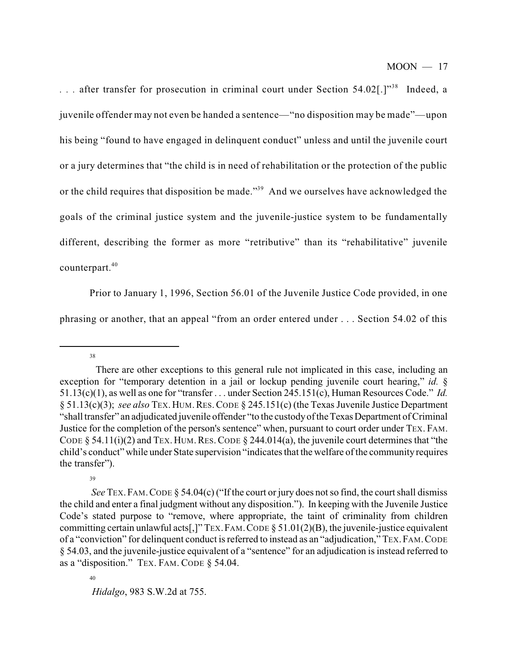... after transfer for prosecution in criminal court under Section 54.02[.]"<sup>38</sup> Indeed, a juvenile offender may not even be handed a sentence—"no disposition may be made"—upon his being "found to have engaged in delinquent conduct" unless and until the juvenile court or a jury determines that "the child is in need of rehabilitation or the protection of the public or the child requires that disposition be made."<sup>39</sup> And we ourselves have acknowledged the goals of the criminal justice system and the juvenile-justice system to be fundamentally different, describing the former as more "retributive" than its "rehabilitative" juvenile counterpart. 40

Prior to January 1, 1996, Section 56.01 of the Juvenile Justice Code provided, in one phrasing or another, that an appeal "from an order entered under . . . Section 54.02 of this

<sup>38</sup>

There are other exceptions to this general rule not implicated in this case, including an exception for "temporary detention in a jail or lockup pending juvenile court hearing," *id.* § 51.13(c)(1), as well as one for "transfer . . . under Section 245.151(c), Human Resources Code." *Id.* § 51.13(c)(3); *see also* TEX.HUM.RES.CODE § 245.151(c) (the Texas Juvenile Justice Department "shall transfer" an adjudicated juvenile offender "to the custody of the Texas Department of Criminal Justice for the completion of the person's sentence" when, pursuant to court order under TEX. FAM. CODE  $\S$  54.11(i)(2) and TEX. HUM. RES. CODE  $\S$  244.014(a), the juvenile court determines that "the child's conduct" while under State supervision "indicates that the welfare of the community requires the transfer").

*See* TEX.FAM.CODE § 54.04(c) ("If the court or jury does not so find, the court shall dismiss the child and enter a final judgment without any disposition."). In keeping with the Juvenile Justice Code's stated purpose to "remove, where appropriate, the taint of criminality from children committing certain unlawful acts[,]" TEX.FAM.CODE § 51.01(2)(B), the juvenile-justice equivalent of a "conviction" for delinquent conduct is referred to instead as an "adjudication," TEX.FAM.CODE § 54.03, and the juvenile-justice equivalent of a "sentence" for an adjudication is instead referred to as a "disposition." TEX. FAM. CODE § 54.04.

<sup>40</sup>

*Hidalgo*, 983 S.W.2d at 755.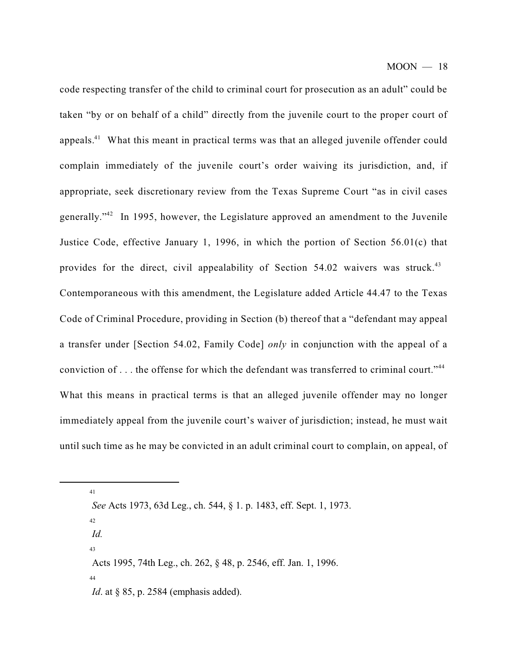code respecting transfer of the child to criminal court for prosecution as an adult" could be taken "by or on behalf of a child" directly from the juvenile court to the proper court of appeals.<sup>41</sup> What this meant in practical terms was that an alleged juvenile offender could complain immediately of the juvenile court's order waiving its jurisdiction, and, if appropriate, seek discretionary review from the Texas Supreme Court "as in civil cases generally."<sup>42</sup> In 1995, however, the Legislature approved an amendment to the Juvenile Justice Code, effective January 1, 1996, in which the portion of Section 56.01(c) that provides for the direct, civil appealability of Section 54.02 waivers was struck.<sup>43</sup> Contemporaneous with this amendment, the Legislature added Article 44.47 to the Texas Code of Criminal Procedure, providing in Section (b) thereof that a "defendant may appeal a transfer under [Section 54.02, Family Code] *only* in conjunction with the appeal of a conviction of  $\dots$  the offense for which the defendant was transferred to criminal court."<sup>44</sup> What this means in practical terms is that an alleged juvenile offender may no longer immediately appeal from the juvenile court's waiver of jurisdiction; instead, he must wait until such time as he may be convicted in an adult criminal court to complain, on appeal, of

41

*See* Acts 1973, 63d Leg., ch. 544, § 1. p. 1483, eff. Sept. 1, 1973.

42 *Id.* 43 Acts 1995, 74th Leg., ch. 262, § 48, p. 2546, eff. Jan. 1, 1996. 44 *Id.* at § 85, p. 2584 (emphasis added).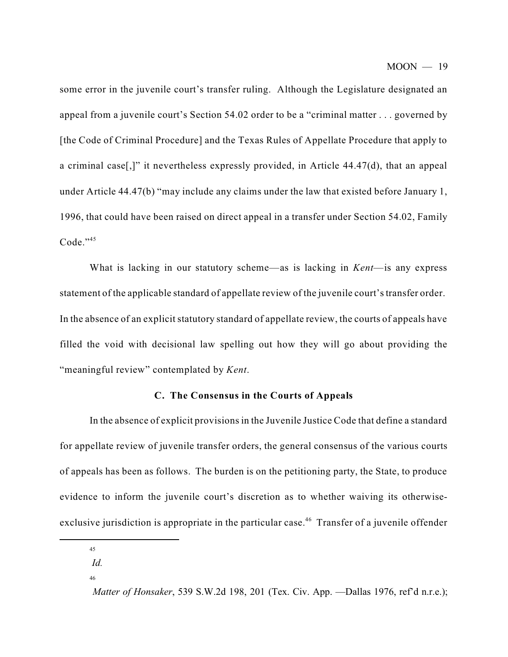some error in the juvenile court's transfer ruling. Although the Legislature designated an appeal from a juvenile court's Section 54.02 order to be a "criminal matter . . . governed by [the Code of Criminal Procedure] and the Texas Rules of Appellate Procedure that apply to a criminal case[,]" it nevertheless expressly provided, in Article 44.47(d), that an appeal under Article 44.47(b) "may include any claims under the law that existed before January 1, 1996, that could have been raised on direct appeal in a transfer under Section 54.02, Family Code."<sup>45</sup>

What is lacking in our statutory scheme—as is lacking in *Kent*—is any express statement of the applicable standard of appellate review of the juvenile court'stransfer order. In the absence of an explicit statutory standard of appellate review, the courts of appeals have filled the void with decisional law spelling out how they will go about providing the "meaningful review" contemplated by *Kent*.

#### **C. The Consensus in the Courts of Appeals**

In the absence of explicit provisions in the Juvenile Justice Code that define a standard for appellate review of juvenile transfer orders, the general consensus of the various courts of appeals has been as follows. The burden is on the petitioning party, the State, to produce evidence to inform the juvenile court's discretion as to whether waiving its otherwiseexclusive jurisdiction is appropriate in the particular case.<sup>46</sup> Transfer of a juvenile offender

<sup>45</sup>

*Id.*

<sup>46</sup>

*Matter of Honsaker*, 539 S.W.2d 198, 201 (Tex. Civ. App. —Dallas 1976, ref'd n.r.e.);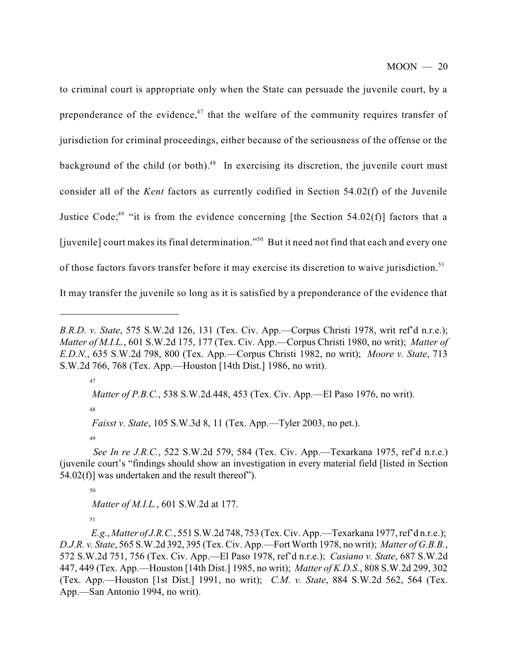to criminal court is appropriate only when the State can persuade the juvenile court, by a preponderance of the evidence, $47$  that the welfare of the community requires transfer of jurisdiction for criminal proceedings, either because of the seriousness of the offense or the background of the child (or both).<sup>48</sup> In exercising its discretion, the juvenile court must consider all of the *Kent* factors as currently codified in Section 54.02(f) of the Juvenile Justice Code;<sup>49</sup> "it is from the evidence concerning [the Section 54.02(f)] factors that a [juvenile] court makes its final determination."<sup>50</sup> But it need not find that each and every one of those factors favors transfer before it may exercise its discretion to waive jurisdiction.<sup>51</sup> It may transfer the juvenile so long as it is satisfied by a preponderance of the evidence that

47

48

*Matter of P.B.C.*, 538 S.W.2d.448, 453 (Tex. Civ. App.—El Paso 1976, no writ).

*Faisst v. State*, 105 S.W.3d 8, 11 (Tex. App.—Tyler 2003, no pet.).

49

50

*Matter of M.I.L.*, 601 S.W.2d at 177.

*B.R.D. v. State*, 575 S.W.2d 126, 131 (Tex. Civ. App.—Corpus Christi 1978, writ ref'd n.r.e.); *Matter of M.I.L.*, 601 S.W.2d 175, 177 (Tex. Civ. App.—Corpus Christi 1980, no writ); *Matter of E.D.N*., 635 S.W.2d 798, 800 (Tex. App.—Corpus Christi 1982, no writ); *Moore v. State*, 713 S.W.2d 766, 768 (Tex. App.—Houston [14th Dist.] 1986, no writ).

*See In re J.R.C.*, 522 S.W.2d 579, 584 (Tex. Civ. App.—Texarkana 1975, ref'd n.r.e.) (juvenile court's "findings should show an investigation in every material field [listed in Section  $54.02(f)$ ] was undertaken and the result thereof").

*E.g.*, *Matter of J.R.C.*, 551 S.W.2d 748, 753 (Tex. Civ. App.—Texarkana 1977, ref'd n.r.e.); *D.J.R. v. State*, 565 S.W.2d 392, 395 (Tex. Civ. App.—Fort Worth 1978, no writ); *Matter of G.B.B.*, 572 S.W.2d 751, 756 (Tex. Civ. App.—El Paso 1978, ref'd n.r.e.); *Casiano v. State*, 687 S.W.2d 447, 449 (Tex. App.—Houston [14th Dist.] 1985, no writ); *Matter of K.D.S.*, 808 S.W.2d 299, 302 (Tex. App.—Houston [1st Dist.] 1991, no writ); *C.M. v. State*, 884 S.W.2d 562, 564 (Tex. App.—San Antonio 1994, no writ).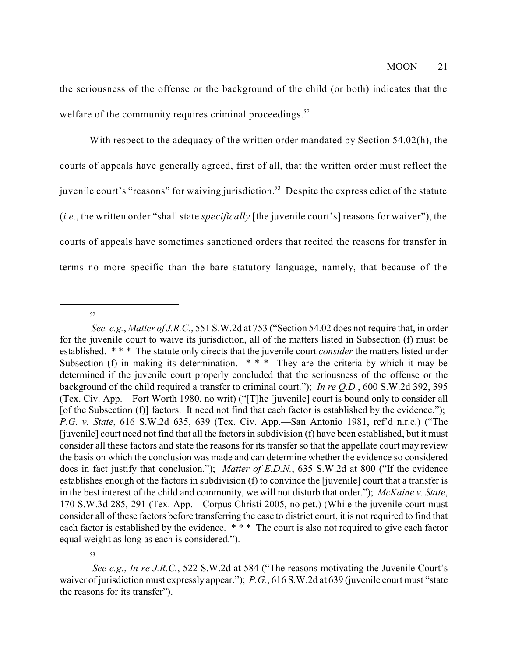the seriousness of the offense or the background of the child (or both) indicates that the welfare of the community requires criminal proceedings.<sup>52</sup>

With respect to the adequacy of the written order mandated by Section 54.02(h), the courts of appeals have generally agreed, first of all, that the written order must reflect the juvenile court's "reasons" for waiving jurisdiction.<sup>53</sup> Despite the express edict of the statute (*i.e.*, the written order "shall state *specifically* [the juvenile court's] reasons for waiver"), the courts of appeals have sometimes sanctioned orders that recited the reasons for transfer in terms no more specific than the bare statutory language, namely, that because of the

<sup>52</sup>

*See, e.g.*, *Matter of J.R.C.*, 551 S.W.2d at 753 ("Section 54.02 does not require that, in order for the juvenile court to waive its jurisdiction, all of the matters listed in Subsection (f) must be established. \* \* \* The statute only directs that the juvenile court *consider* the matters listed under Subsection (f) in making its determination.  $***$  They are the criteria by which it may be determined if the juvenile court properly concluded that the seriousness of the offense or the background of the child required a transfer to criminal court."); *In re Q.D.*, 600 S.W.2d 392, 395 (Tex. Civ. App.—Fort Worth 1980, no writ) ("[T]he [juvenile] court is bound only to consider all [of the Subsection (f)] factors. It need not find that each factor is established by the evidence."); *P.G. v. State*, 616 S.W.2d 635, 639 (Tex. Civ. App.—San Antonio 1981, ref'd n.r.e.) ("The [juvenile] court need not find that all the factors in subdivision (f) have been established, but it must consider all these factors and state the reasons for its transfer so that the appellate court may review the basis on which the conclusion was made and can determine whether the evidence so considered does in fact justify that conclusion."); *Matter of E.D.N.*, 635 S.W.2d at 800 ("If the evidence establishes enough of the factors in subdivision (f) to convince the [juvenile] court that a transfer is in the best interest of the child and community, we will not disturb that order."); *McKaine v. State*, 170 S.W.3d 285, 291 (Tex. App.—Corpus Christi 2005, no pet.) (While the juvenile court must consider all of these factors before transferring the case to district court, it is not required to find that each factor is established by the evidence. \*\*\* The court is also not required to give each factor equal weight as long as each is considered.").

<sup>53</sup>

*See e.g.*, *In re J.R.C.*, 522 S.W.2d at 584 ("The reasons motivating the Juvenile Court's waiver of jurisdiction must expressly appear."); *P.G.*, 616 S.W.2d at 639 (juvenile court must "state the reasons for its transfer").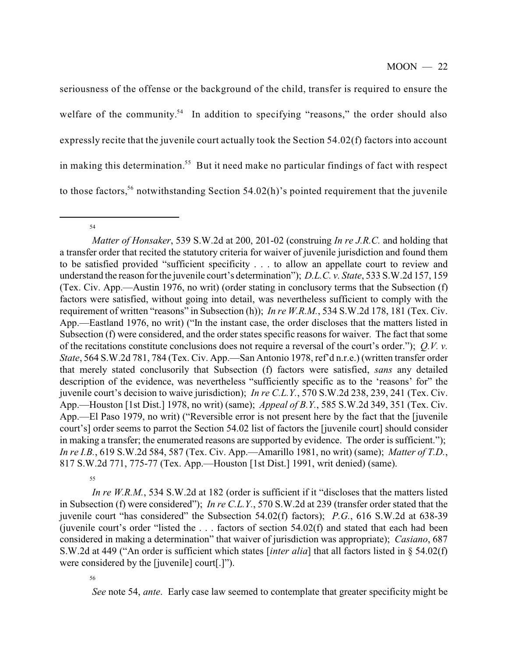seriousness of the offense or the background of the child, transfer is required to ensure the welfare of the community.<sup>54</sup> In addition to specifying "reasons," the order should also expressly recite that the juvenile court actually took the Section 54.02(f) factors into account in making this determination.<sup>55</sup> But it need make no particular findings of fact with respect to those factors,<sup>56</sup> notwithstanding Section 54.02(h)'s pointed requirement that the juvenile

54

55

*In re W.R.M.*, 534 S.W.2d at 182 (order is sufficient if it "discloses that the matters listed in Subsection (f) were considered"); *In re C.L.Y.*, 570 S.W.2d at 239 (transfer order stated that the juvenile court "has considered" the Subsection 54.02(f) factors); *P.G.*, 616 S.W.2d at 638-39 (juvenile court's order "listed the  $\ldots$  factors of section 54.02(f) and stated that each had been considered in making a determination" that waiver of jurisdiction was appropriate); *Casiano*, 687 S.W.2d at 449 ("An order is sufficient which states [*inter alia*] that all factors listed in § 54.02(f) were considered by the [juvenile] court[.]").

56

*See* note 54, *ante*. Early case law seemed to contemplate that greater specificity might be

*Matter of Honsaker*, 539 S.W.2d at 200, 201-02 (construing *In re J.R.C.* and holding that a transfer order that recited the statutory criteria for waiver of juvenile jurisdiction and found them to be satisfied provided "sufficient specificity . . . to allow an appellate court to review and understand the reason for the juvenile court's determination"); *D.L.C. v. State*, 533 S.W.2d 157, 159 (Tex. Civ. App.—Austin 1976, no writ) (order stating in conclusory terms that the Subsection (f) factors were satisfied, without going into detail, was nevertheless sufficient to comply with the requirement of written "reasons" in Subsection (h)); *In re W.R.M.*, 534 S.W.2d 178, 181 (Tex. Civ. App.—Eastland 1976, no writ) ("In the instant case, the order discloses that the matters listed in Subsection (f) were considered, and the order states specific reasons for waiver. The fact that some of the recitations constitute conclusions does not require a reversal of the court's order."); *Q.V. v. State*, 564 S.W.2d 781, 784 (Tex. Civ. App.—San Antonio 1978, ref'd n.r.e.) (written transfer order that merely stated conclusorily that Subsection (f) factors were satisfied, *sans* any detailed description of the evidence, was nevertheless "sufficiently specific as to the 'reasons' for" the juvenile court's decision to waive jurisdiction); *In re C.L.Y.*, 570 S.W.2d 238, 239, 241 (Tex. Civ. App.—Houston [1st Dist.] 1978, no writ) (same); *Appeal of B.Y.*, 585 S.W.2d 349, 351 (Tex. Civ. App.—El Paso 1979, no writ) ("Reversible error is not present here by the fact that the [juvenile court's] order seems to parrot the Section 54.02 list of factors the [juvenile court] should consider in making a transfer; the enumerated reasons are supported by evidence. The order is sufficient."); *In re I.B.*, 619 S.W.2d 584, 587 (Tex. Civ. App.—Amarillo 1981, no writ) (same); *Matter of T.D.*, 817 S.W.2d 771, 775-77 (Tex. App.—Houston [1st Dist.] 1991, writ denied) (same).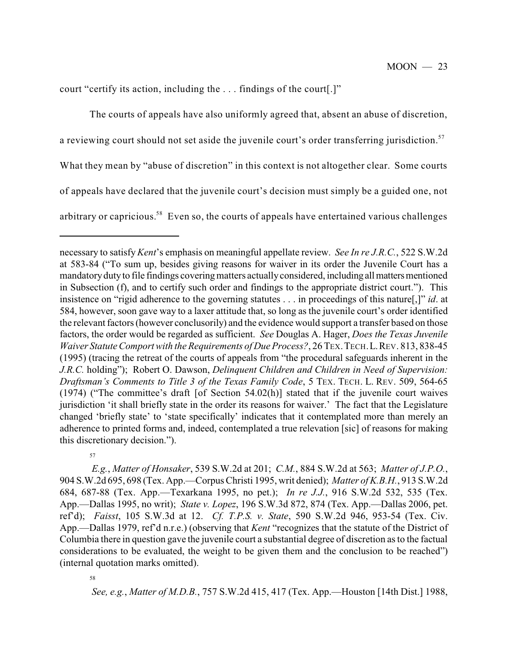court "certify its action, including the . . . findings of the court[.]"

The courts of appeals have also uniformly agreed that, absent an abuse of discretion, a reviewing court should not set aside the juvenile court's order transferring jurisdiction.<sup>57</sup> What they mean by "abuse of discretion" in this context is not altogether clear. Some courts of appeals have declared that the juvenile court's decision must simply be a guided one, not

arbitrary or capricious.<sup>58</sup> Even so, the courts of appeals have entertained various challenges

57

*E.g.*, *Matter of Honsaker*, 539 S.W.2d at 201; *C.M.*, 884 S.W.2d at 563; *Matter of J.P.O.*, 904 S.W.2d 695, 698 (Tex. App.—Corpus Christi 1995, writ denied); *Matter of K.B.H.*, 913 S.W.2d 684, 687-88 (Tex. App.—Texarkana 1995, no pet.); *In re J.J.*, 916 S.W.2d 532, 535 (Tex. App.—Dallas 1995, no writ); *State v. Lopez*, 196 S.W.3d 872, 874 (Tex. App.—Dallas 2006, pet. ref'd); *Faisst*, 105 S.W.3d at 12. *Cf. T.P.S. v. State*, 590 S.W.2d 946, 953-54 (Tex. Civ. App.—Dallas 1979, ref'd n.r.e.) (observing that *Kent* "recognizes that the statute of the District of Columbia there in question gave the juvenile court a substantial degree of discretion as to the factual considerations to be evaluated, the weight to be given them and the conclusion to be reached") (internal quotation marks omitted).

58

*See, e.g.*, *Matter of M.D.B.*, 757 S.W.2d 415, 417 (Tex. App.—Houston [14th Dist.] 1988,

necessary to satisfy*Kent*'s emphasis on meaningful appellate review. *See In re J.R.C.*, 522 S.W.2d at 583-84 ("To sum up, besides giving reasons for waiver in its order the Juvenile Court has a mandatorydutyto file findings covering matters actuallyconsidered, including allmattersmentioned in Subsection (f), and to certify such order and findings to the appropriate district court."). This insistence on "rigid adherence to the governing statutes . . . in proceedings of this nature[,]" *id*. at 584, however, soon gave way to a laxer attitude that, so long as the juvenile court's order identified the relevant factors (however conclusorily) and the evidence would support a transfer based on those factors, the order would be regarded as sufficient. *See* Douglas A. Hager, *Does the Texas Juvenile Waiver Statute Comport with the Requirements of Due Process?*, 26 TEX.TECH.L.REV. 813, 838-45 (1995) (tracing the retreat of the courts of appeals from "the procedural safeguards inherent in the *J.R.C.* holding"); Robert O. Dawson, *Delinquent Children and Children in Need of Supervision: Draftsman's Comments to Title 3 of the Texas Family Code*, 5 TEX. TECH. L. REV. 509, 564-65 (1974) ("The committee's draft [of Section 54.02(h)] stated that if the juvenile court waives jurisdiction 'it shall briefly state in the order its reasons for waiver.' The fact that the Legislature changed 'briefly state' to 'state specifically' indicates that it contemplated more than merely an adherence to printed forms and, indeed, contemplated a true relevation [sic] of reasons for making this discretionary decision.").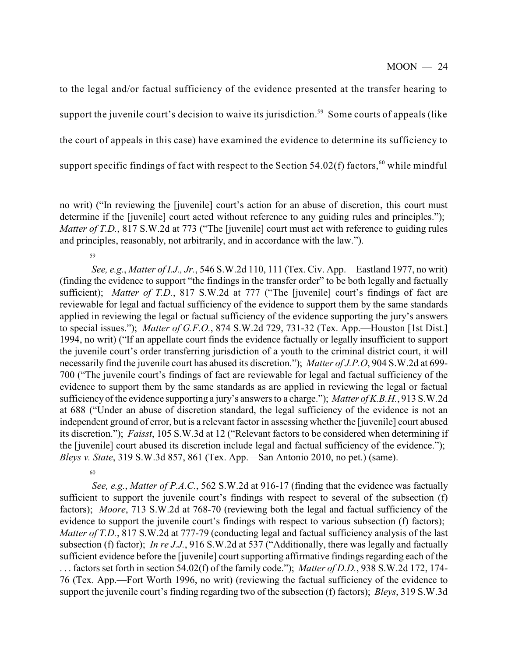to the legal and/or factual sufficiency of the evidence presented at the transfer hearing to support the juvenile court's decision to waive its jurisdiction.<sup>59</sup> Some courts of appeals (like the court of appeals in this case) have examined the evidence to determine its sufficiency to support specific findings of fact with respect to the Section 54.02(f) factors,  $60$  while mindful

59

60

*See, e.g.*, *Matter of I.J., Jr.*, 546 S.W.2d 110, 111 (Tex. Civ. App.—Eastland 1977, no writ) (finding the evidence to support "the findings in the transfer order" to be both legally and factually sufficient); *Matter of T.D.*, 817 S.W.2d at 777 ("The [juvenile] court's findings of fact are reviewable for legal and factual sufficiency of the evidence to support them by the same standards applied in reviewing the legal or factual sufficiency of the evidence supporting the jury's answers to special issues."); *Matter of G.F.O.*, 874 S.W.2d 729, 731-32 (Tex. App.—Houston [1st Dist.] 1994, no writ) ("If an appellate court finds the evidence factually or legally insufficient to support the juvenile court's order transferring jurisdiction of a youth to the criminal district court, it will necessarily find the juvenile court has abused its discretion."); *Matter of J.P.O*, 904 S.W.2d at 699- 700 ("The juvenile court's findings of fact are reviewable for legal and factual sufficiency of the evidence to support them by the same standards as are applied in reviewing the legal or factual sufficiency of the evidence supporting a jury's answers to a charge."); *Matter of K.B.H.*, 913 S.W.2d at 688 ("Under an abuse of discretion standard, the legal sufficiency of the evidence is not an independent ground of error, but is a relevant factor in assessing whether the [juvenile] court abused its discretion."); *Faisst*, 105 S.W.3d at 12 ("Relevant factors to be considered when determining if the [juvenile] court abused its discretion include legal and factual sufficiency of the evidence."); *Bleys v. State*, 319 S.W.3d 857, 861 (Tex. App.—San Antonio 2010, no pet.) (same).

*See, e.g.*, *Matter of P.A.C.*, 562 S.W.2d at 916-17 (finding that the evidence was factually sufficient to support the juvenile court's findings with respect to several of the subsection (f) factors); *Moore*, 713 S.W.2d at 768-70 (reviewing both the legal and factual sufficiency of the evidence to support the juvenile court's findings with respect to various subsection (f) factors); *Matter of T.D.*, 817 S.W.2d at 777-79 (conducting legal and factual sufficiency analysis of the last subsection (f) factor); *In re J.J.*, 916 S.W.2d at 537 ("Additionally, there was legally and factually sufficient evidence before the [juvenile] court supporting affirmative findings regarding each of the . . . factors set forth in section 54.02(f) of the family code."); *Matter of D.D.*, 938 S.W.2d 172, 174- 76 (Tex. App.—Fort Worth 1996, no writ) (reviewing the factual sufficiency of the evidence to support the juvenile court's finding regarding two of the subsection (f) factors); *Bleys*, 319 S.W.3d

no writ) ("In reviewing the [juvenile] court's action for an abuse of discretion, this court must determine if the [juvenile] court acted without reference to any guiding rules and principles."); *Matter of T.D.*, 817 S.W.2d at 773 ("The [juvenile] court must act with reference to guiding rules and principles, reasonably, not arbitrarily, and in accordance with the law.").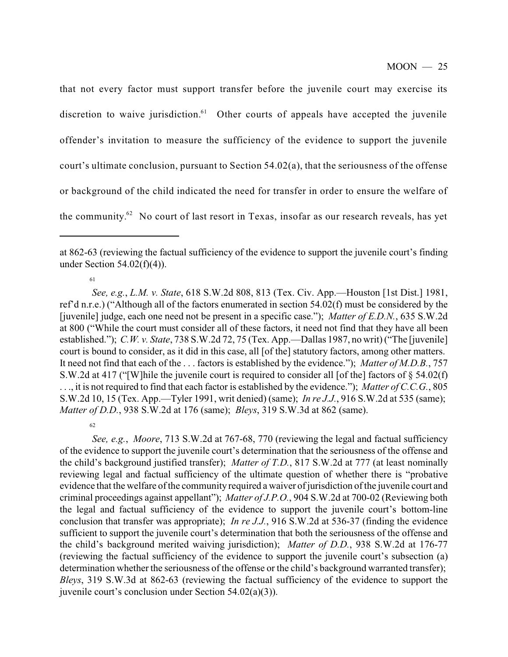that not every factor must support transfer before the juvenile court may exercise its discretion to waive jurisdiction.<sup>61</sup> Other courts of appeals have accepted the juvenile offender's invitation to measure the sufficiency of the evidence to support the juvenile court's ultimate conclusion, pursuant to Section 54.02(a), that the seriousness of the offense or background of the child indicated the need for transfer in order to ensure the welfare of the community.<sup>62</sup> No court of last resort in Texas, insofar as our research reveals, has yet

62 *See, e.g.*, *Moore*, 713 S.W.2d at 767-68, 770 (reviewing the legal and factual sufficiency of the evidence to support the juvenile court's determination that the seriousness of the offense and the child's background justified transfer); *Matter of T.D.*, 817 S.W.2d at 777 (at least nominally reviewing legal and factual sufficiency of the ultimate question of whether there is "probative evidence that the welfare of the community required a waiver of jurisdiction of the juvenile court and criminal proceedings against appellant"); *Matter of J.P.O.*, 904 S.W.2d at 700-02 (Reviewing both the legal and factual sufficiency of the evidence to support the juvenile court's bottom-line conclusion that transfer was appropriate); *In re J.J.*, 916 S.W.2d at 536-37 (finding the evidence sufficient to support the juvenile court's determination that both the seriousness of the offense and the child's background merited waiving jurisdiction); *Matter of D.D.*, 938 S.W.2d at 176-77 (reviewing the factual sufficiency of the evidence to support the juvenile court's subsection (a) determination whether the seriousness of the offense or the child's background warranted transfer); *Bleys*, 319 S.W.3d at 862-63 (reviewing the factual sufficiency of the evidence to support the juvenile court's conclusion under Section 54.02(a)(3)).

at 862-63 (reviewing the factual sufficiency of the evidence to support the juvenile court's finding under Section  $54.02(f)(4)$ ).

<sup>61</sup>

*See, e.g.*, *L.M. v. State*, 618 S.W.2d 808, 813 (Tex. Civ. App.—Houston [1st Dist.] 1981, ref'd n.r.e.) ("Although all of the factors enumerated in section 54.02(f) must be considered by the [juvenile] judge, each one need not be present in a specific case."); *Matter of E.D.N.*, 635 S.W.2d at 800 ("While the court must consider all of these factors, it need not find that they have all been established."); *C.W. v. State*, 738 S.W.2d 72, 75 (Tex. App.—Dallas 1987, no writ) ("The [juvenile] court is bound to consider, as it did in this case, all [of the] statutory factors, among other matters. It need not find that each of the . . . factors is established by the evidence."); *Matter of M.D.B.*, 757 S.W.2d at 417 ("[W]hile the juvenile court is required to consider all [of the] factors of § 54.02(f) . . ., it is not required to find that each factor is established by the evidence."); *Matter of C.C.G.*, 805 S.W.2d 10, 15 (Tex. App.—Tyler 1991, writ denied) (same); *In re J.J.*, 916 S.W.2d at 535 (same); *Matter of D.D.*, 938 S.W.2d at 176 (same); *Bleys*, 319 S.W.3d at 862 (same).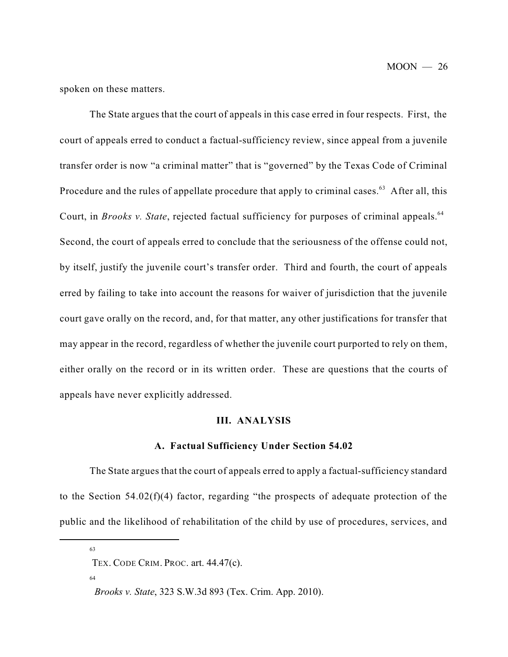$MOON - 26$ 

spoken on these matters.

The State argues that the court of appeals in this case erred in four respects. First, the court of appeals erred to conduct a factual-sufficiency review, since appeal from a juvenile transfer order is now "a criminal matter" that is "governed" by the Texas Code of Criminal Procedure and the rules of appellate procedure that apply to criminal cases.<sup>63</sup> After all, this Court, in *Brooks v. State*, rejected factual sufficiency for purposes of criminal appeals. 64 Second, the court of appeals erred to conclude that the seriousness of the offense could not, by itself, justify the juvenile court's transfer order. Third and fourth, the court of appeals erred by failing to take into account the reasons for waiver of jurisdiction that the juvenile court gave orally on the record, and, for that matter, any other justifications for transfer that may appear in the record, regardless of whether the juvenile court purported to rely on them, either orally on the record or in its written order. These are questions that the courts of appeals have never explicitly addressed.

#### **III. ANALYSIS**

#### **A. Factual Sufficiency Under Section 54.02**

The State argues that the court of appeals erred to apply a factual-sufficiency standard to the Section 54.02(f)(4) factor, regarding "the prospects of adequate protection of the public and the likelihood of rehabilitation of the child by use of procedures, services, and

63

TEX. CODE CRIM. PROC. art. 44.47(c).

*Brooks v. State*, 323 S.W.3d 893 (Tex. Crim. App. 2010).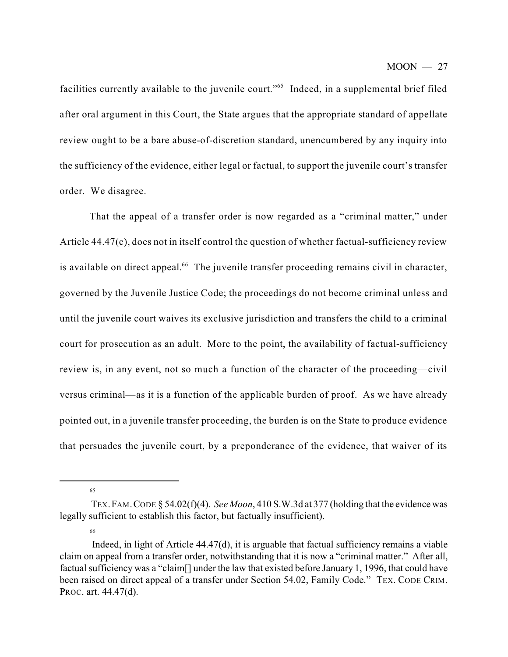facilities currently available to the juvenile court."<sup>65</sup> Indeed, in a supplemental brief filed after oral argument in this Court, the State argues that the appropriate standard of appellate review ought to be a bare abuse-of-discretion standard, unencumbered by any inquiry into the sufficiency of the evidence, either legal or factual, to support the juvenile court's transfer order. We disagree.

That the appeal of a transfer order is now regarded as a "criminal matter," under Article 44.47(c), does not in itself control the question of whether factual-sufficiency review is available on direct appeal. $66$  The juvenile transfer proceeding remains civil in character, governed by the Juvenile Justice Code; the proceedings do not become criminal unless and until the juvenile court waives its exclusive jurisdiction and transfers the child to a criminal court for prosecution as an adult. More to the point, the availability of factual-sufficiency review is, in any event, not so much a function of the character of the proceeding—civil versus criminal—as it is a function of the applicable burden of proof. As we have already pointed out, in a juvenile transfer proceeding, the burden is on the State to produce evidence that persuades the juvenile court, by a preponderance of the evidence, that waiver of its

65

TEX.FAM.CODE § 54.02(f)(4). *See Moon*, 410 S.W.3d at 377 (holding that the evidence was legally sufficient to establish this factor, but factually insufficient).

Indeed, in light of Article 44.47(d), it is arguable that factual sufficiency remains a viable claim on appeal from a transfer order, notwithstanding that it is now a "criminal matter." After all, factual sufficiency was a "claim[] under the law that existed before January 1, 1996, that could have been raised on direct appeal of a transfer under Section 54.02, Family Code." TEX. CODE CRIM. PROC. art. 44.47(d).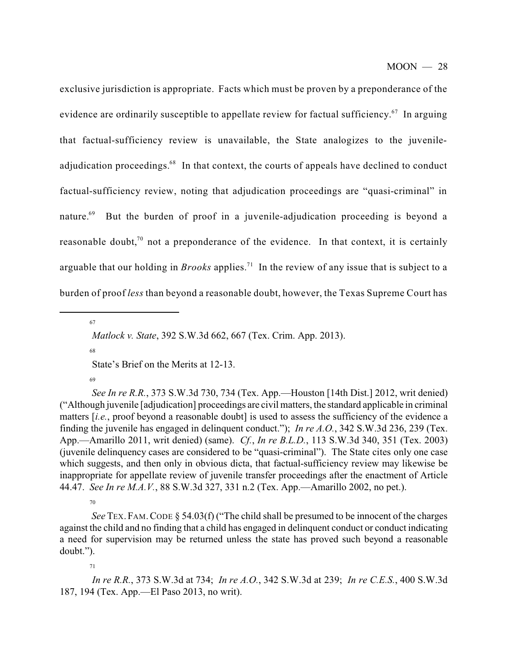exclusive jurisdiction is appropriate. Facts which must be proven by a preponderance of the evidence are ordinarily susceptible to appellate review for factual sufficiency. $67$  In arguing that factual-sufficiency review is unavailable, the State analogizes to the juvenileadjudication proceedings.<sup>68</sup> In that context, the courts of appeals have declined to conduct factual-sufficiency review, noting that adjudication proceedings are "quasi-criminal" in But the burden of proof in a juvenile-adjudication proceeding is beyond a nature.<sup>69</sup> reasonable doubt,<sup>70</sup> not a preponderance of the evidence. In that context, it is certainly arguable that our holding in *Brooks* applies.<sup>71</sup> In the review of any issue that is subject to a burden of proof *less* than beyond a reasonable doubt, however, the Texas Supreme Court has

67

68

State's Brief on the Merits at 12-13.

69

*See In re R.R.*, 373 S.W.3d 730, 734 (Tex. App.—Houston [14th Dist.] 2012, writ denied) ("Although juvenile [adjudication] proceedings are civil matters, the standard applicable in criminal matters *[i.e.*, proof beyond a reasonable doubt] is used to assess the sufficiency of the evidence a finding the juvenile has engaged in delinquent conduct."); *In re A.O.*, 342 S.W.3d 236, 239 (Tex. App.—Amarillo 2011, writ denied) (same). *Cf.*, *In re B.L.D.*, 113 S.W.3d 340, 351 (Tex. 2003) (juvenile delinquency cases are considered to be "quasi-criminal"). The State cites only one case which suggests, and then only in obvious dicta, that factual-sufficiency review may likewise be inappropriate for appellate review of juvenile transfer proceedings after the enactment of Article 44.47. *See In re M.A.V.*, 88 S.W.3d 327, 331 n.2 (Tex. App.—Amarillo 2002, no pet.).

70

*See* TEX. FAM.CODE § 54.03(f) ("The child shall be presumed to be innocent of the charges against the child and no finding that a child has engaged in delinquent conduct or conduct indicating a need for supervision may be returned unless the state has proved such beyond a reasonable doubt.").

71

*In re R.R.*, 373 S.W.3d at 734; *In re A.O.*, 342 S.W.3d at 239; *In re C.E.S.*, 400 S.W.3d 187, 194 (Tex. App.—El Paso 2013, no writ).

*Matlock v. State*, 392 S.W.3d 662, 667 (Tex. Crim. App. 2013).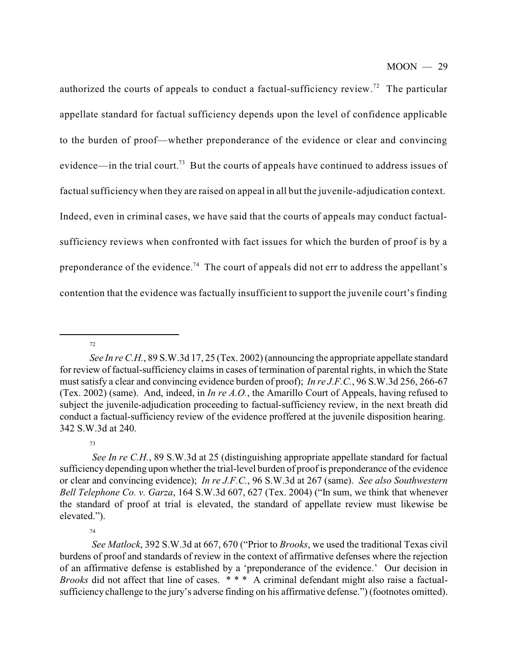authorized the courts of appeals to conduct a factual-sufficiency review.<sup>72</sup> The particular appellate standard for factual sufficiency depends upon the level of confidence applicable to the burden of proof—whether preponderance of the evidence or clear and convincing evidence—in the trial court.<sup>73</sup> But the courts of appeals have continued to address issues of factual sufficiency when they are raised on appeal in all but the juvenile-adjudication context. Indeed, even in criminal cases, we have said that the courts of appeals may conduct factualsufficiency reviews when confronted with fact issues for which the burden of proof is by a preponderance of the evidence.<sup>74</sup> The court of appeals did not err to address the appellant's contention that the evidence was factually insufficient to support the juvenile court's finding

72

73

74

*See Matlock*, 392 S.W.3d at 667, 670 ("Prior to *Brooks*, we used the traditional Texas civil burdens of proof and standards of review in the context of affirmative defenses where the rejection of an affirmative defense is established by a 'preponderance of the evidence.' Our decision in *Brooks* did not affect that line of cases. \*\*\* A criminal defendant might also raise a factualsufficiency challenge to the jury's adverse finding on his affirmative defense.") (footnotes omitted).

*See In re C.H.*, 89 S.W.3d 17, 25 (Tex. 2002) (announcing the appropriate appellate standard for review of factual-sufficiency claims in cases of termination of parental rights, in which the State must satisfy a clear and convincing evidence burden of proof); *In re J.F.C.*, 96 S.W.3d 256, 266-67 (Tex. 2002) (same). And, indeed, in *In re A.O.*, the Amarillo Court of Appeals, having refused to subject the juvenile-adjudication proceeding to factual-sufficiency review, in the next breath did conduct a factual-sufficiency review of the evidence proffered at the juvenile disposition hearing. 342 S.W.3d at 240.

*See In re C.H.*, 89 S.W.3d at 25 (distinguishing appropriate appellate standard for factual sufficiency depending upon whether the trial-level burden of proof is preponderance of the evidence or clear and convincing evidence); *In re J.F.C.*, 96 S.W.3d at 267 (same). *See also Southwestern Bell Telephone Co. v. Garza*, 164 S.W.3d 607, 627 (Tex. 2004) ("In sum, we think that whenever the standard of proof at trial is elevated, the standard of appellate review must likewise be elevated.").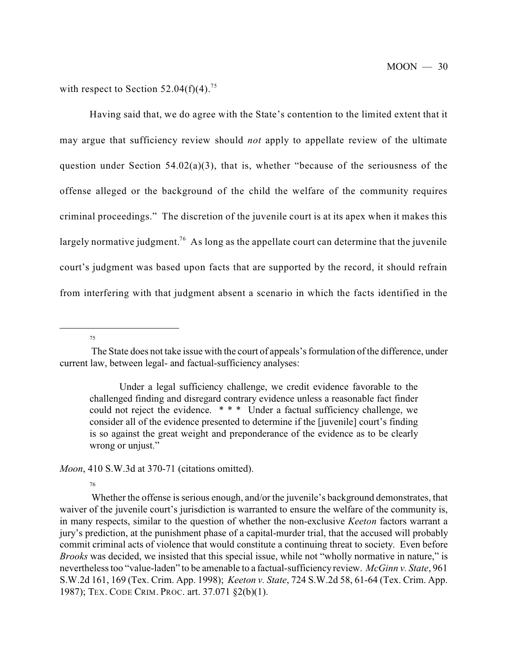with respect to Section 52.04(f)(4).<sup>75</sup>

Having said that, we do agree with the State's contention to the limited extent that it may argue that sufficiency review should *not* apply to appellate review of the ultimate question under Section 54.02(a)(3), that is, whether "because of the seriousness of the offense alleged or the background of the child the welfare of the community requires criminal proceedings." The discretion of the juvenile court is at its apex when it makes this largely normative judgment.<sup>76</sup> As long as the appellate court can determine that the juvenile court's judgment was based upon facts that are supported by the record, it should refrain from interfering with that judgment absent a scenario in which the facts identified in the

75

Under a legal sufficiency challenge, we credit evidence favorable to the challenged finding and disregard contrary evidence unless a reasonable fact finder could not reject the evidence. \* \* \* Under a factual sufficiency challenge, we consider all of the evidence presented to determine if the [juvenile] court's finding is so against the great weight and preponderance of the evidence as to be clearly wrong or unjust."

*Moon*, 410 S.W.3d at 370-71 (citations omitted).

76

Whether the offense is serious enough, and/or the juvenile's background demonstrates, that waiver of the juvenile court's jurisdiction is warranted to ensure the welfare of the community is, in many respects, similar to the question of whether the non-exclusive *Keeton* factors warrant a jury's prediction, at the punishment phase of a capital-murder trial, that the accused will probably commit criminal acts of violence that would constitute a continuing threat to society. Even before *Brooks* was decided, we insisted that this special issue, while not "wholly normative in nature," is nevertheless too "value-laden" to be amenable to a factual-sufficiency review. *McGinn v. State*, 961 S.W.2d 161, 169 (Tex. Crim. App. 1998); *Keeton v. State*, 724 S.W.2d 58, 61-64 (Tex. Crim. App. 1987); TEX. CODE CRIM. PROC. art. 37.071 §2(b)(1).

The State does not take issue with the court of appeals's formulation of the difference, under current law, between legal- and factual-sufficiency analyses: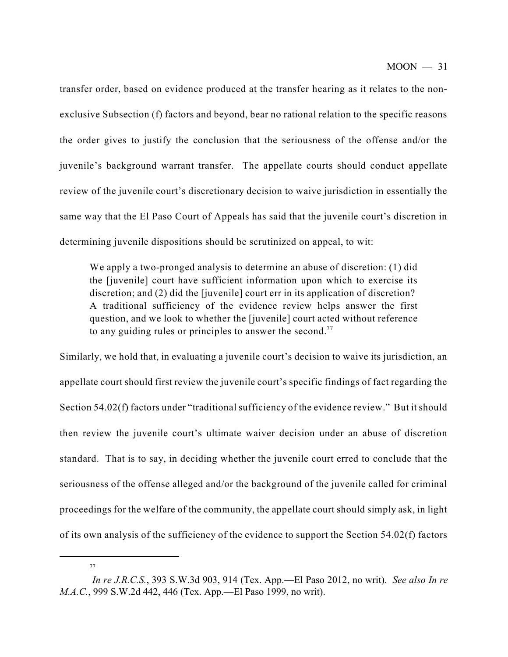transfer order, based on evidence produced at the transfer hearing as it relates to the nonexclusive Subsection (f) factors and beyond, bear no rational relation to the specific reasons the order gives to justify the conclusion that the seriousness of the offense and/or the juvenile's background warrant transfer. The appellate courts should conduct appellate review of the juvenile court's discretionary decision to waive jurisdiction in essentially the same way that the El Paso Court of Appeals has said that the juvenile court's discretion in determining juvenile dispositions should be scrutinized on appeal, to wit:

We apply a two-pronged analysis to determine an abuse of discretion: (1) did the [juvenile] court have sufficient information upon which to exercise its discretion; and (2) did the [juvenile] court err in its application of discretion? A traditional sufficiency of the evidence review helps answer the first question, and we look to whether the [juvenile] court acted without reference to any guiding rules or principles to answer the second.<sup>77</sup>

Similarly, we hold that, in evaluating a juvenile court's decision to waive its jurisdiction, an appellate court should first review the juvenile court's specific findings of fact regarding the Section 54.02(f) factors under "traditional sufficiency of the evidence review." But it should then review the juvenile court's ultimate waiver decision under an abuse of discretion standard. That is to say, in deciding whether the juvenile court erred to conclude that the seriousness of the offense alleged and/or the background of the juvenile called for criminal proceedings for the welfare of the community, the appellate court should simply ask, in light of its own analysis of the sufficiency of the evidence to support the Section 54.02(f) factors

*In re J.R.C.S.*, 393 S.W.3d 903, 914 (Tex. App.—El Paso 2012, no writ). *See also In re M.A.C.*, 999 S.W.2d 442, 446 (Tex. App.—El Paso 1999, no writ).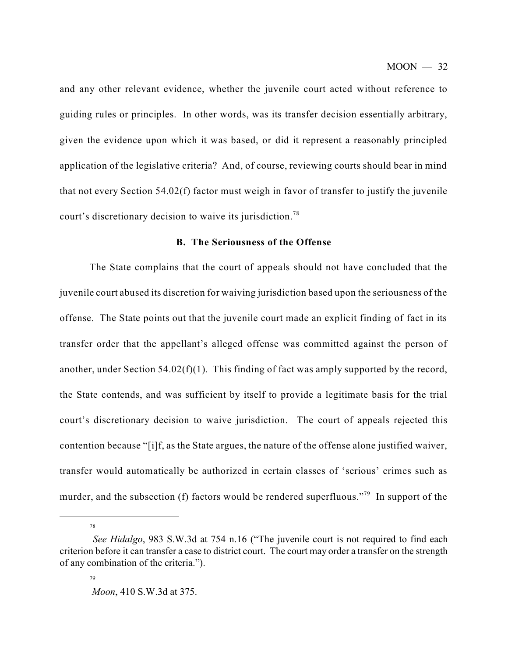and any other relevant evidence, whether the juvenile court acted without reference to guiding rules or principles. In other words, was its transfer decision essentially arbitrary, given the evidence upon which it was based, or did it represent a reasonably principled application of the legislative criteria? And, of course, reviewing courts should bear in mind that not every Section 54.02(f) factor must weigh in favor of transfer to justify the juvenile court's discretionary decision to waive its jurisdiction.<sup>78</sup>

# **B. The Seriousness of the Offense**

The State complains that the court of appeals should not have concluded that the juvenile court abused its discretion for waiving jurisdiction based upon the seriousness of the offense. The State points out that the juvenile court made an explicit finding of fact in its transfer order that the appellant's alleged offense was committed against the person of another, under Section 54.02(f)(1). This finding of fact was amply supported by the record, the State contends, and was sufficient by itself to provide a legitimate basis for the trial court's discretionary decision to waive jurisdiction. The court of appeals rejected this contention because "[i]f, as the State argues, the nature of the offense alone justified waiver, transfer would automatically be authorized in certain classes of 'serious' crimes such as murder, and the subsection (f) factors would be rendered superfluous."<sup>79</sup> In support of the

*See Hidalgo*, 983 S.W.3d at 754 n.16 ("The juvenile court is not required to find each criterion before it can transfer a case to district court. The court may order a transfer on the strength of any combination of the criteria.").

<sup>79</sup>

*Moon*, 410 S.W.3d at 375.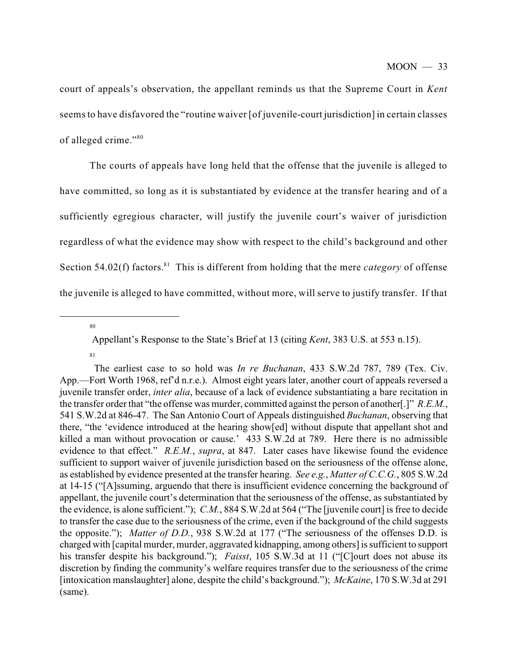court of appeals's observation, the appellant reminds us that the Supreme Court in *Kent* seemsto have disfavored the "routine waiver [of juvenile-court jurisdiction] in certain classes of alleged crime." 80

The courts of appeals have long held that the offense that the juvenile is alleged to have committed, so long as it is substantiated by evidence at the transfer hearing and of a sufficiently egregious character, will justify the juvenile court's waiver of jurisdiction regardless of what the evidence may show with respect to the child's background and other Section 54.02(f) factors.<sup>81</sup> This is different from holding that the mere *category* of offense the juvenile is alleged to have committed, without more, will serve to justify transfer. If that

Appellant's Response to the State's Brief at 13 (citing *Kent*, 383 U.S. at 553 n.15).

<sup>81</sup>

The earliest case to so hold was *In re Buchanan*, 433 S.W.2d 787, 789 (Tex. Civ. App.—Fort Worth 1968, ref'd n.r.e.). Almost eight years later, another court of appeals reversed a juvenile transfer order, *inter alia*, because of a lack of evidence substantiating a bare recitation in the transfer order that "the offense was murder, committed against the person of another[.]" *R.E.M.*, 541 S.W.2d at 846-47. The San Antonio Court of Appeals distinguished *Buchanan*, observing that there, "the 'evidence introduced at the hearing show[ed] without dispute that appellant shot and killed a man without provocation or cause.' 433 S.W.2d at 789. Here there is no admissible evidence to that effect." *R.E.M.*, *supra*, at 847. Later cases have likewise found the evidence sufficient to support waiver of juvenile jurisdiction based on the seriousness of the offense alone, as established by evidence presented at the transfer hearing. *See e.g.*, *Matter of C.C.G.*, 805 S.W.2d at 14-15 ("[A]ssuming, arguendo that there is insufficient evidence concerning the background of appellant, the juvenile court's determination that the seriousness of the offense, as substantiated by the evidence, is alone sufficient."); *C.M.*, 884 S.W.2d at 564 ("The [juvenile court] is free to decide to transfer the case due to the seriousness of the crime, even if the background of the child suggests the opposite."); *Matter of D.D.*, 938 S.W.2d at 177 ("The seriousness of the offenses D.D. is charged with [capital murder, murder, aggravated kidnapping, among others] is sufficient to support his transfer despite his background."); *Faisst*, 105 S.W.3d at 11 ("[C]ourt does not abuse its discretion by finding the community's welfare requires transfer due to the seriousness of the crime [intoxication manslaughter] alone, despite the child's background."); *McKaine*, 170 S.W.3d at 291 (same).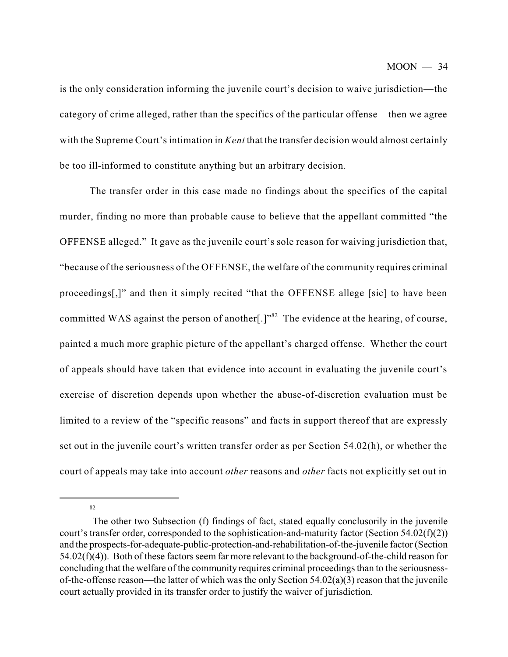is the only consideration informing the juvenile court's decision to waive jurisdiction—the category of crime alleged, rather than the specifics of the particular offense—then we agree with the Supreme Court's intimation in *Kent* that the transfer decision would almost certainly be too ill-informed to constitute anything but an arbitrary decision.

The transfer order in this case made no findings about the specifics of the capital murder, finding no more than probable cause to believe that the appellant committed "the OFFENSE alleged." It gave as the juvenile court's sole reason for waiving jurisdiction that, "because of the seriousness of the OFFENSE, the welfare of the community requires criminal proceedings[,]" and then it simply recited "that the OFFENSE allege [sic] to have been committed WAS against the person of another[.]" $^{82}$  The evidence at the hearing, of course, painted a much more graphic picture of the appellant's charged offense. Whether the court of appeals should have taken that evidence into account in evaluating the juvenile court's exercise of discretion depends upon whether the abuse-of-discretion evaluation must be limited to a review of the "specific reasons" and facts in support thereof that are expressly set out in the juvenile court's written transfer order as per Section 54.02(h), or whether the court of appeals may take into account *other* reasons and *other* facts not explicitly set out in

<sup>82</sup>

The other two Subsection (f) findings of fact, stated equally conclusorily in the juvenile court's transfer order, corresponded to the sophistication-and-maturity factor (Section 54.02(f)(2)) and the prospects-for-adequate-public-protection-and-rehabilitation-of-the-juvenile factor (Section 54.02(f)(4)). Both of these factors seem far more relevant to the background-of-the-child reason for concluding that the welfare of the community requires criminal proceedings than to the seriousnessof-the-offense reason—the latter of which was the only Section 54.02(a)(3) reason that the juvenile court actually provided in its transfer order to justify the waiver of jurisdiction.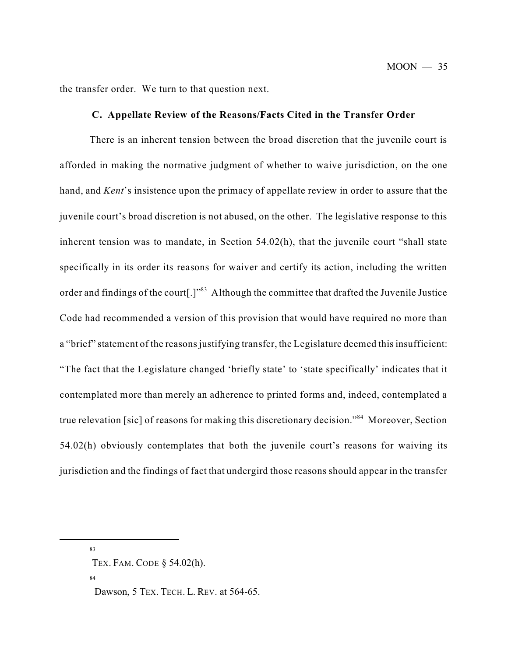the transfer order. We turn to that question next.

## **C. Appellate Review of the Reasons/Facts Cited in the Transfer Order**

There is an inherent tension between the broad discretion that the juvenile court is afforded in making the normative judgment of whether to waive jurisdiction, on the one hand, and *Kent*'s insistence upon the primacy of appellate review in order to assure that the juvenile court's broad discretion is not abused, on the other. The legislative response to this inherent tension was to mandate, in Section 54.02(h), that the juvenile court "shall state specifically in its order its reasons for waiver and certify its action, including the written order and findings of the court[.]"<sup>83</sup> Although the committee that drafted the Juvenile Justice Code had recommended a version of this provision that would have required no more than a "brief" statement of the reasons justifying transfer, the Legislature deemed this insufficient: "The fact that the Legislature changed 'briefly state' to 'state specifically' indicates that it contemplated more than merely an adherence to printed forms and, indeed, contemplated a true relevation [sic] of reasons for making this discretionary decision."<sup>84</sup> Moreover, Section 54.02(h) obviously contemplates that both the juvenile court's reasons for waiving its jurisdiction and the findings of fact that undergird those reasons should appear in the transfer

83

TEX. FAM. CODE § 54.02(h).

Dawson, 5 TEX. TECH. L. REV. at 564-65.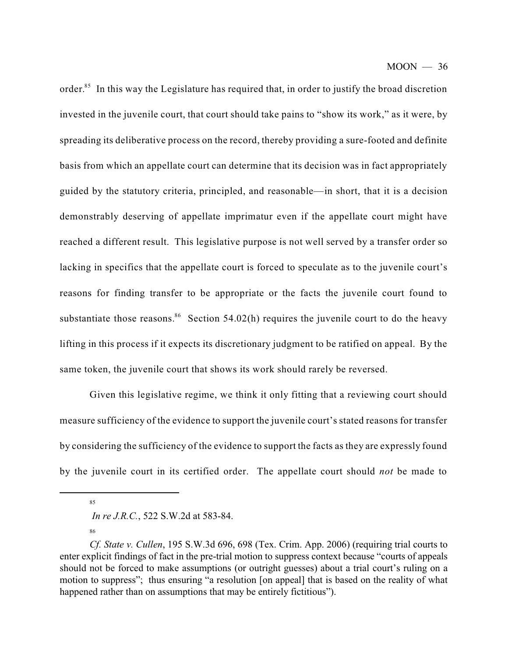order.<sup>85</sup> In this way the Legislature has required that, in order to justify the broad discretion invested in the juvenile court, that court should take pains to "show its work," as it were, by spreading its deliberative process on the record, thereby providing a sure-footed and definite basis from which an appellate court can determine that its decision was in fact appropriately guided by the statutory criteria, principled, and reasonable—in short, that it is a decision demonstrably deserving of appellate imprimatur even if the appellate court might have reached a different result. This legislative purpose is not well served by a transfer order so lacking in specifics that the appellate court is forced to speculate as to the juvenile court's reasons for finding transfer to be appropriate or the facts the juvenile court found to substantiate those reasons.<sup>86</sup> Section 54.02(h) requires the juvenile court to do the heavy lifting in this process if it expects its discretionary judgment to be ratified on appeal. By the same token, the juvenile court that shows its work should rarely be reversed.

Given this legislative regime, we think it only fitting that a reviewing court should measure sufficiency of the evidence to support the juvenile court's stated reasons for transfer by considering the sufficiency of the evidence to support the facts as they are expressly found by the juvenile court in its certified order. The appellate court should *not* be made to

85

*In re J.R.C.*, 522 S.W.2d at 583-84.

*Cf. State v. Cullen*, 195 S.W.3d 696, 698 (Tex. Crim. App. 2006) (requiring trial courts to enter explicit findings of fact in the pre-trial motion to suppress context because "courts of appeals should not be forced to make assumptions (or outright guesses) about a trial court's ruling on a motion to suppress"; thus ensuring "a resolution [on appeal] that is based on the reality of what happened rather than on assumptions that may be entirely fictitious").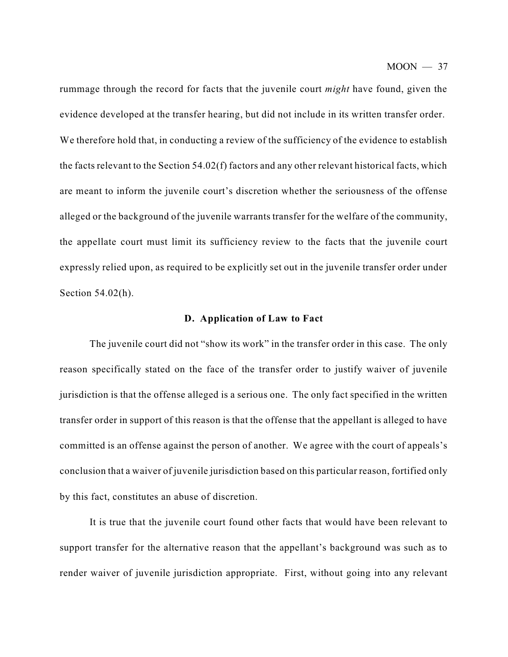rummage through the record for facts that the juvenile court *might* have found, given the evidence developed at the transfer hearing, but did not include in its written transfer order. We therefore hold that, in conducting a review of the sufficiency of the evidence to establish the facts relevant to the Section 54.02(f) factors and any other relevant historical facts, which are meant to inform the juvenile court's discretion whether the seriousness of the offense alleged or the background of the juvenile warrants transfer for the welfare of the community, the appellate court must limit its sufficiency review to the facts that the juvenile court expressly relied upon, as required to be explicitly set out in the juvenile transfer order under Section 54.02(h).

#### **D. Application of Law to Fact**

The juvenile court did not "show its work" in the transfer order in this case. The only reason specifically stated on the face of the transfer order to justify waiver of juvenile jurisdiction is that the offense alleged is a serious one. The only fact specified in the written transfer order in support of this reason is that the offense that the appellant is alleged to have committed is an offense against the person of another. We agree with the court of appeals's conclusion that a waiver of juvenile jurisdiction based on this particular reason, fortified only by this fact, constitutes an abuse of discretion.

It is true that the juvenile court found other facts that would have been relevant to support transfer for the alternative reason that the appellant's background was such as to render waiver of juvenile jurisdiction appropriate. First, without going into any relevant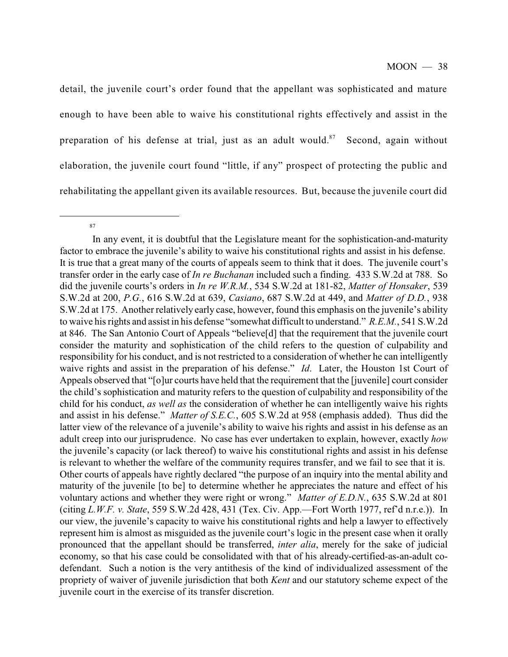detail, the juvenile court's order found that the appellant was sophisticated and mature enough to have been able to waive his constitutional rights effectively and assist in the preparation of his defense at trial, just as an adult would.<sup>87</sup> Second, again without elaboration, the juvenile court found "little, if any" prospect of protecting the public and rehabilitating the appellant given its available resources. But, because the juvenile court did

<sup>87</sup>

In any event, it is doubtful that the Legislature meant for the sophistication-and-maturity factor to embrace the juvenile's ability to waive his constitutional rights and assist in his defense. It is true that a great many of the courts of appeals seem to think that it does. The juvenile court's transfer order in the early case of *In re Buchanan* included such a finding. 433 S.W.2d at 788. So did the juvenile courts's orders in *In re W.R.M.*, 534 S.W.2d at 181-82, *Matter of Honsaker*, 539 S.W.2d at 200, *P.G.*, 616 S.W.2d at 639, *Casiano*, 687 S.W.2d at 449, and *Matter of D.D.*, 938 S.W.2d at 175. Another relatively early case, however, found this emphasis on the juvenile's ability to waive his rights and assist in his defense "somewhat difficult to understand." *R.E.M.*, 541 S.W.2d at 846. The San Antonio Court of Appeals "believe[d] that the requirement that the juvenile court consider the maturity and sophistication of the child refers to the question of culpability and responsibility for his conduct, and is not restricted to a consideration of whether he can intelligently waive rights and assist in the preparation of his defense." *Id*. Later, the Houston 1st Court of Appeals observed that "[o]ur courts have held that the requirement that the [juvenile] court consider the child's sophistication and maturity refers to the question of culpability and responsibility of the child for his conduct, *as well as* the consideration of whether he can intelligently waive his rights and assist in his defense." *Matter of S.E.C.*, 605 S.W.2d at 958 (emphasis added). Thus did the latter view of the relevance of a juvenile's ability to waive his rights and assist in his defense as an adult creep into our jurisprudence. No case has ever undertaken to explain, however, exactly *how* the juvenile's capacity (or lack thereof) to waive his constitutional rights and assist in his defense is relevant to whether the welfare of the community requires transfer, and we fail to see that it is. Other courts of appeals have rightly declared "the purpose of an inquiry into the mental ability and maturity of the juvenile [to be] to determine whether he appreciates the nature and effect of his voluntary actions and whether they were right or wrong." *Matter of E.D.N.*, 635 S.W.2d at 801 (citing *L.W.F. v. State*, 559 S.W.2d 428, 431 (Tex. Civ. App.—Fort Worth 1977, ref'd n.r.e.)). In our view, the juvenile's capacity to waive his constitutional rights and help a lawyer to effectively represent him is almost as misguided as the juvenile court's logic in the present case when it orally pronounced that the appellant should be transferred, *inter alia*, merely for the sake of judicial economy, so that his case could be consolidated with that of his already-certified-as-an-adult codefendant. Such a notion is the very antithesis of the kind of individualized assessment of the propriety of waiver of juvenile jurisdiction that both *Kent* and our statutory scheme expect of the juvenile court in the exercise of its transfer discretion.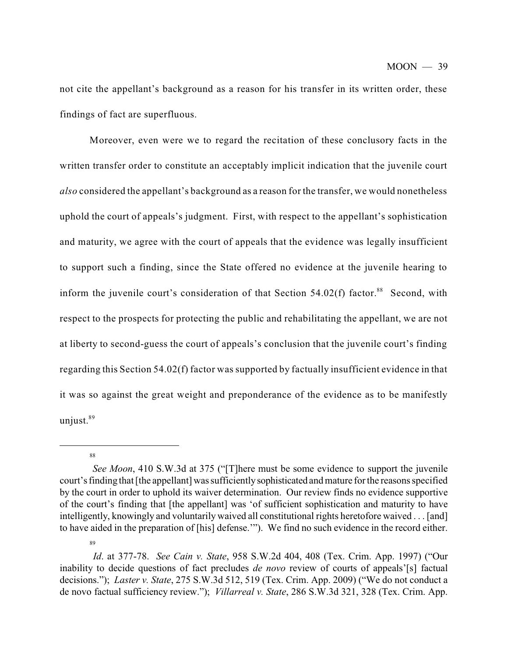not cite the appellant's background as a reason for his transfer in its written order, these findings of fact are superfluous.

Moreover, even were we to regard the recitation of these conclusory facts in the written transfer order to constitute an acceptably implicit indication that the juvenile court *also* considered the appellant's background as a reason for the transfer, we would nonetheless uphold the court of appeals's judgment. First, with respect to the appellant's sophistication and maturity, we agree with the court of appeals that the evidence was legally insufficient to support such a finding, since the State offered no evidence at the juvenile hearing to inform the juvenile court's consideration of that Section  $54.02(f)$  factor.<sup>88</sup> Second, with respect to the prospects for protecting the public and rehabilitating the appellant, we are not at liberty to second-guess the court of appeals's conclusion that the juvenile court's finding regarding this Section 54.02(f) factor was supported by factually insufficient evidence in that it was so against the great weight and preponderance of the evidence as to be manifestly unjust. 89

88

*See Moon*, 410 S.W.3d at 375 ("[T]here must be some evidence to support the juvenile court's finding that [the appellant] was sufficientlysophisticated and mature for the reasons specified by the court in order to uphold its waiver determination. Our review finds no evidence supportive of the court's finding that [the appellant] was 'of sufficient sophistication and maturity to have intelligently, knowingly and voluntarily waived all constitutional rights heretofore waived . . . [and] to have aided in the preparation of [his] defense.'"). We find no such evidence in the record either.

*Id*. at 377-78. *See Cain v. State*, 958 S.W.2d 404, 408 (Tex. Crim. App. 1997) ("Our inability to decide questions of fact precludes *de novo* review of courts of appeals'[s] factual decisions."); *Laster v. State*, 275 S.W.3d 512, 519 (Tex. Crim. App. 2009) ("We do not conduct a de novo factual sufficiency review."); *Villarreal v. State*, 286 S.W.3d 321, 328 (Tex. Crim. App.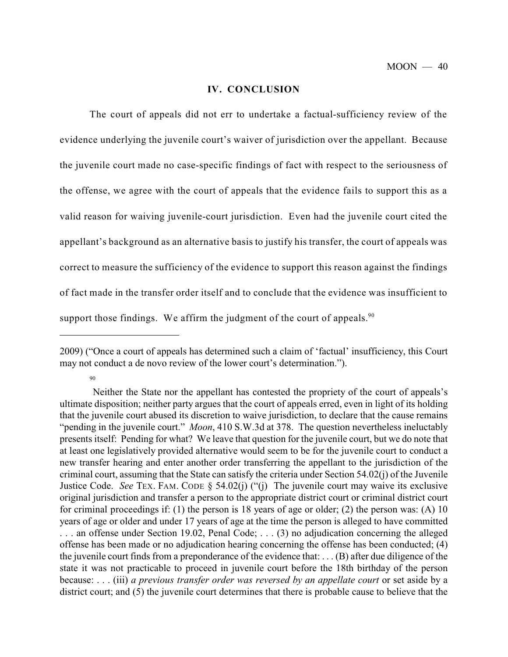#### **IV. CONCLUSION**

The court of appeals did not err to undertake a factual-sufficiency review of the evidence underlying the juvenile court's waiver of jurisdiction over the appellant. Because the juvenile court made no case-specific findings of fact with respect to the seriousness of the offense, we agree with the court of appeals that the evidence fails to support this as a valid reason for waiving juvenile-court jurisdiction. Even had the juvenile court cited the appellant's background as an alternative basis to justify his transfer, the court of appeals was correct to measure the sufficiency of the evidence to support this reason against the findings of fact made in the transfer order itself and to conclude that the evidence was insufficient to support those findings. We affirm the judgment of the court of appeals. $90$ 

<sup>2009) (&</sup>quot;Once a court of appeals has determined such a claim of 'factual' insufficiency, this Court may not conduct a de novo review of the lower court's determination.").

Neither the State nor the appellant has contested the propriety of the court of appeals's ultimate disposition; neither party argues that the court of appeals erred, even in light of its holding that the juvenile court abused its discretion to waive jurisdiction, to declare that the cause remains "pending in the juvenile court." *Moon*, 410 S.W.3d at 378. The question nevertheless ineluctably presents itself: Pending for what? We leave that question for the juvenile court, but we do note that at least one legislatively provided alternative would seem to be for the juvenile court to conduct a new transfer hearing and enter another order transferring the appellant to the jurisdiction of the criminal court, assuming that the State can satisfy the criteria under Section 54.02(j) of the Juvenile Justice Code. *See* TEX. FAM. CODE § 54.02(j) ("(j) The juvenile court may waive its exclusive original jurisdiction and transfer a person to the appropriate district court or criminal district court for criminal proceedings if: (1) the person is 18 years of age or older; (2) the person was: (A) 10 years of age or older and under 17 years of age at the time the person is alleged to have committed . . . an offense under Section 19.02, Penal Code; . . . (3) no adjudication concerning the alleged offense has been made or no adjudication hearing concerning the offense has been conducted; (4) the juvenile court finds from a preponderance of the evidence that: . . . (B) after due diligence of the state it was not practicable to proceed in juvenile court before the 18th birthday of the person because: . . . (iii) *a previous transfer order was reversed by an appellate court* or set aside by a district court; and (5) the juvenile court determines that there is probable cause to believe that the